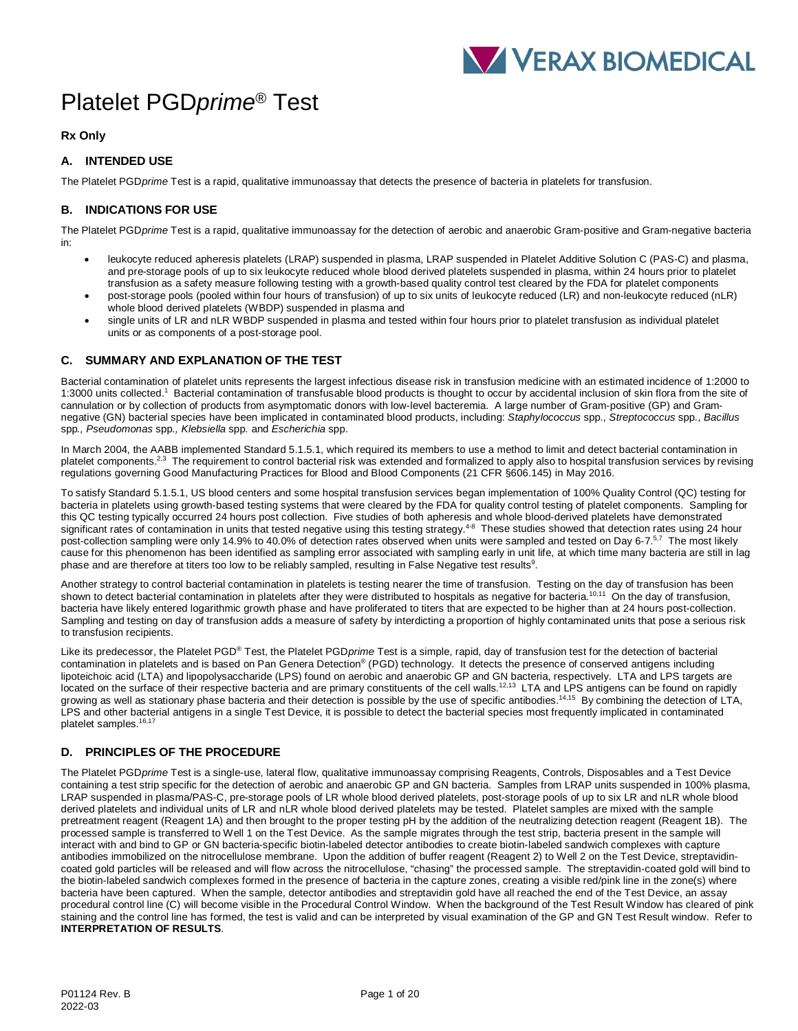# Platelet PGD*prime*® Test

**Rx Only**

# **A. INTENDED USE**

The Platelet PGD*prime* Test is a rapid, qualitative immunoassay that detects the presence of bacteria in platelets for transfusion.

# **B. INDICATIONS FOR USE**

The Platelet PGD*prime* Test is a rapid, qualitative immunoassay for the detection of aerobic and anaerobic Gram-positive and Gram-negative bacteria in:

- leukocyte reduced apheresis platelets (LRAP) suspended in plasma, LRAP suspended in Platelet Additive Solution C (PAS-C) and plasma, and pre-storage pools of up to six leukocyte reduced whole blood derived platelets suspended in plasma, within 24 hours prior to platelet transfusion as a safety measure following testing with a growth-based quality control test cleared by the FDA for platelet components
- post-storage pools (pooled within four hours of transfusion) of up to six units of leukocyte reduced (LR) and non-leukocyte reduced (nLR) whole blood derived platelets (WBDP) suspended in plasma and
- single units of LR and nLR WBDP suspended in plasma and tested within four hours prior to platelet transfusion as individual platelet units or as components of a post-storage pool.

# **C. SUMMARY AND EXPLANATION OF THE TEST**

Bacterial contamination of platelet units represents the largest infectious disease risk in transfusion medicine with an estimated incidence of 1:2000 to 1:3000 units collected.1 Bacterial contamination of transfusable blood products is thought to occur by accidental inclusion of skin flora from the site of cannulation or by collection of products from asymptomatic donors with low-level bacteremia. A large number of Gram-positive (GP) and Gramnegative (GN) bacterial species have been implicated in contaminated blood products, including: *Staphylococcus* spp*., Streptococcus* spp*., Bacillus*  spp*., Pseudomonas* spp*., Klebsiella* spp*.* and *Escherichia* spp.

In March 2004, the AABB implemented Standard 5.1.5.1, which required its members to use a method to limit and detect bacterial contamination in platelet components.<sup>2,3</sup> The requirement to control bacterial risk was extended and formalized to apply also to hospital transfusion services by revising regulations governing Good Manufacturing Practices for Blood and Blood Components (21 CFR §606.145) in May 2016.

To satisfy Standard 5.1.5.1, US blood centers and some hospital transfusion services began implementation of 100% Quality Control (QC) testing for bacteria in platelets using growth-based testing systems that were cleared by the FDA for quality control testing of platelet components. Sampling for this QC testing typically occurred 24 hours post collection. Five studies of both apheresis and whole blood-derived platelets have demonstrated significant rates of contamination in units that tested negative using this testing strategy.<sup>4-8</sup> These studies showed that detection rates using 24 hour post-collection sampling were only 14.9% to 40.0% of detection rates observed when units were sampled and tested on Day 6-7.<sup>5,7</sup> The most likely cause for this phenomenon has been identified as sampling error associated with sampling early in unit life, at which time many bacteria are still in lag phase and are therefore at titers too low to be reliably sampled, resulting in False Negative test results<sup>9</sup>.

Another strategy to control bacterial contamination in platelets is testing nearer the time of transfusion. Testing on the day of transfusion has been shown to detect bacterial contamination in platelets after they were distributed to hospitals as negative for bacteria.10,11 On the day of transfusion, bacteria have likely entered logarithmic growth phase and have proliferated to titers that are expected to be higher than at 24 hours post-collection. Sampling and testing on day of transfusion adds a measure of safety by interdicting a proportion of highly contaminated units that pose a serious risk to transfusion recipients.

Like its predecessor, the Platelet PGD® Test, the Platelet PGD*prime* Test is a simple, rapid, day of transfusion test for the detection of bacterial contamination in platelets and is based on Pan Genera Detection® (PGD) technology. It detects the presence of conserved antigens including lipoteichoic acid (LTA) and lipopolysaccharide (LPS) found on aerobic and anaerobic GP and GN bacteria, respectively. LTA and LPS targets are located on the surface of their respective bacteria and are primary constituents of the cell walls.<sup>12,13</sup> LTA and LPS antigens can be found on rapidly growing as well as stationary phase bacteria and their detection is possible by the use of specific antibodies.<sup>14,15</sup> By combining the detection of LTA, LPS and other bacterial antigens in a single Test Device, it is possible to detect the bacterial species most frequently implicated in contaminated platelet samples.<sup>16,17</sup>

# **D. PRINCIPLES OF THE PROCEDURE**

The Platelet PGD*prime* Test is a single-use, lateral flow, qualitative immunoassay comprising Reagents, Controls, Disposables and a Test Device containing a test strip specific for the detection of aerobic and anaerobic GP and GN bacteria. Samples from LRAP units suspended in 100% plasma, LRAP suspended in plasma/PAS-C, pre-storage pools of LR whole blood derived platelets, post-storage pools of up to six LR and nLR whole blood derived platelets and individual units of LR and nLR whole blood derived platelets may be tested. Platelet samples are mixed with the sample pretreatment reagent (Reagent 1A) and then brought to the proper testing pH by the addition of the neutralizing detection reagent (Reagent 1B). The processed sample is transferred to Well 1 on the Test Device. As the sample migrates through the test strip, bacteria present in the sample will interact with and bind to GP or GN bacteria-specific biotin-labeled detector antibodies to create biotin-labeled sandwich complexes with capture antibodies immobilized on the nitrocellulose membrane. Upon the addition of buffer reagent (Reagent 2) to Well 2 on the Test Device, streptavidincoated gold particles will be released and will flow across the nitrocellulose, "chasing" the processed sample. The streptavidin-coated gold will bind to the biotin-labeled sandwich complexes formed in the presence of bacteria in the capture zones, creating a visible red/pink line in the zone(s) where bacteria have been captured. When the sample, detector antibodies and streptavidin gold have all reached the end of the Test Device, an assay procedural control line (C) will become visible in the Procedural Control Window. When the background of the Test Result Window has cleared of pink staining and the control line has formed, the test is valid and can be interpreted by visual examination of the GP and GN Test Result window. Refer to **INTERPRETATION OF RESULTS**.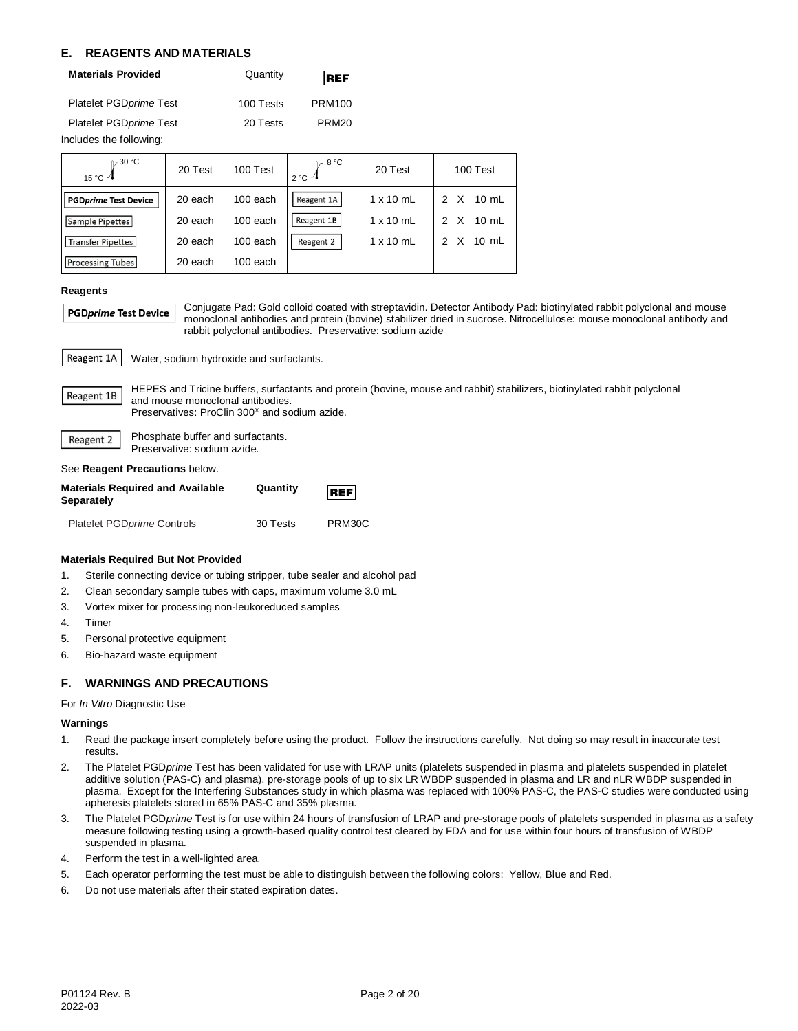# **E. REAGENTS AND MATERIALS**

| <b>Materials Provided</b> | Quantity  | REF               |
|---------------------------|-----------|-------------------|
| Platelet PGD prime Test   | 100 Tests | <b>PRM100</b>     |
| Platelet PGD prime Test   | 20 Tests  | PRM <sub>20</sub> |

Includes the following:

| $\mathbb{I}$ 30 °C<br>15 °C $-1$ | 20 Test | 100 Test | 8 °C<br>$2 °C$ $-1$ | 20 Test          | 100 Test                                     |
|----------------------------------|---------|----------|---------------------|------------------|----------------------------------------------|
| <b>PGDprime Test Device</b>      | 20 each | 100 each | Reagent 1A          | $1 \times 10$ mL | 2 X<br>$10 \text{ mL}$                       |
| Sample Pipettes                  | 20 each | 100 each | Reagent 1B          | $1 \times 10$ mL | X<br>$10 \text{ mL}$<br>$\mathcal{P}$        |
| <b>Transfer Pipettes</b>         | 20 each | 100 each | Reagent 2           | $1 \times 10$ mL | $\times$<br>$10 \text{ mL}$<br>$\mathcal{P}$ |
| <b>Processing Tubes</b>          | 20 each | 100 each |                     |                  |                                              |

#### **Reagents**

```
PGDprime Test Device
```
Conjugate Pad: Gold colloid coated with streptavidin. Detector Antibody Pad: biotinylated rabbit polyclonal and mouse monoclonal antibodies and protein (bovine) stabilizer dried in sucrose. Nitrocellulose: mouse monoclonal antibody and rabbit polyclonal antibodies. Preservative: sodium azide

Reagent 1A Water, sodium hydroxide and surfactants.

HEPES and Tricine buffers, surfactants and protein (bovine, mouse and rabbit) stabilizers, biotinylated rabbit polyclonal Reagent 1B and mouse monoclonal antibodies. Preservatives: ProClin 300® and sodium azide.

Phosphate buffer and surfactants. Reagent 2 Preservative: sodium azide.

See **Reagent Precautions** below.

| <b>Materials Required and Available</b><br>Separately | Quantity | <b>REF</b> |
|-------------------------------------------------------|----------|------------|
| <b>Platelet PGDprime Controls</b>                     | 30 Tests | PRM30C     |

## **Materials Required But Not Provided**

- 1. Sterile connecting device or tubing stripper, tube sealer and alcohol pad
- 2. Clean secondary sample tubes with caps, maximum volume 3.0 mL
- 3. Vortex mixer for processing non-leukoreduced samples
- 4. Timer
- 5. Personal protective equipment
- 6. Bio-hazard waste equipment

# **F. WARNINGS AND PRECAUTIONS**

For *In Vitro* Diagnostic Use

# **Warnings**

- 1. Read the package insert completely before using the product. Follow the instructions carefully. Not doing so may result in inaccurate test results.
- 2. The Platelet PGD*prime* Test has been validated for use with LRAP units (platelets suspended in plasma and platelets suspended in platelet additive solution (PAS-C) and plasma), pre-storage pools of up to six LR WBDP suspended in plasma and LR and nLR WBDP suspended in plasma. Except for the Interfering Substances study in which plasma was replaced with 100% PAS-C, the PAS-C studies were conducted using apheresis platelets stored in 65% PAS-C and 35% plasma.
- 3. The Platelet PGD*prime* Test is for use within 24 hours of transfusion of LRAP and pre-storage pools of platelets suspended in plasma as a safety measure following testing using a growth-based quality control test cleared by FDA and for use within four hours of transfusion of WBDP suspended in plasma.
- 4. Perform the test in a well-lighted area.
- 5. Each operator performing the test must be able to distinguish between the following colors: Yellow, Blue and Red.
- 6. Do not use materials after their stated expiration dates.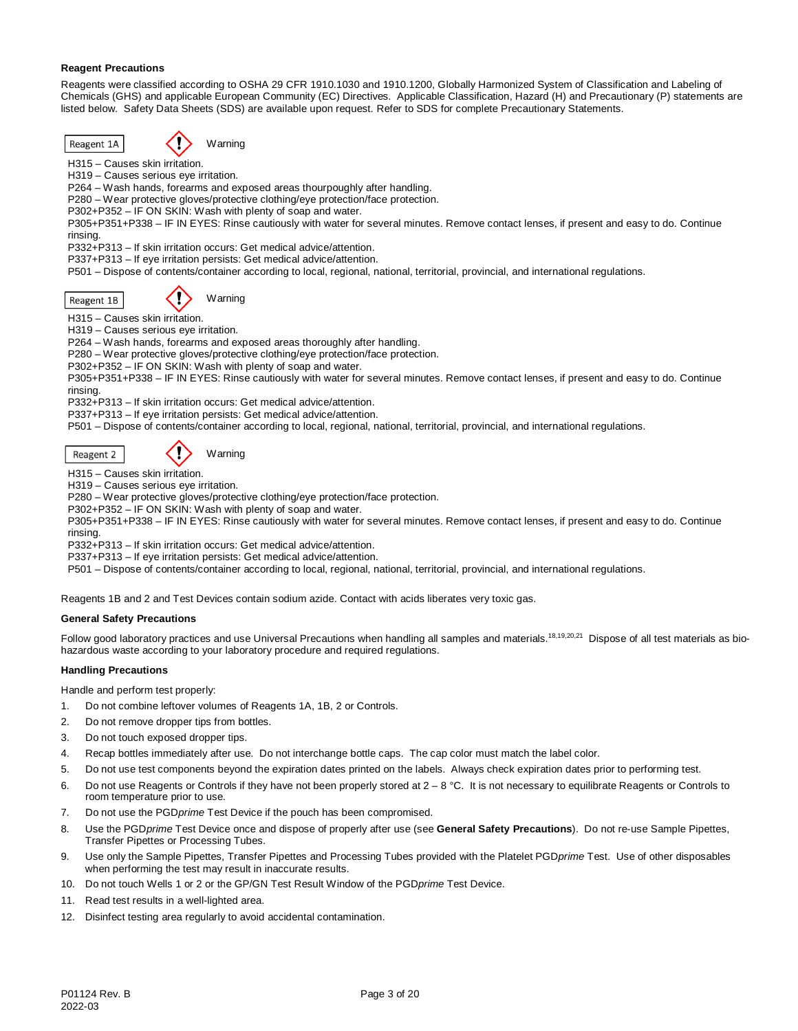## **Reagent Precautions**

Reagents were classified according to OSHA 29 CFR 1910.1030 and 1910.1200, Globally Harmonized System of Classification and Labeling of Chemicals (GHS) and applicable European Community (EC) Directives. Applicable Classification, Hazard (H) and Precautionary (P) statements are listed below. Safety Data Sheets (SDS) are available upon request. Refer to SDS for complete Precautionary Statements.

Reagent 1A



H315 – Causes skin irritation.

H319 – Causes serious eye irritation.

P264 – Wash hands, forearms and exposed areas thourpoughly after handling.

P280 – Wear protective gloves/protective clothing/eye protection/face protection.

P302+P352 – IF ON SKIN: Wash with plenty of soap and water.

P305+P351+P338 – IF IN EYES: Rinse cautiously with water for several minutes. Remove contact lenses, if present and easy to do. Continue rinsing.

P332+P313 – If skin irritation occurs: Get medical advice/attention.

P337+P313 – If eye irritation persists: Get medical advice/attention.

P501 – Dispose of contents/container according to local, regional, national, territorial, provincial, and international regulations.

Reagent 1B

**Warning** 

H315 – Causes skin irritation.

H319 – Causes serious eye irritation.

P264 – Wash hands, forearms and exposed areas thoroughly after handling.

P280 – Wear protective gloves/protective clothing/eye protection/face protection.

P302+P352 – IF ON SKIN: Wash with plenty of soap and water.

P305+P351+P338 – IF IN EYES: Rinse cautiously with water for several minutes. Remove contact lenses, if present and easy to do. Continue rinsing.

P332+P313 – If skin irritation occurs: Get medical advice/attention.

P337+P313 – If eye irritation persists: Get medical advice/attention.

P501 – Dispose of contents/container according to local, regional, national, territorial, provincial, and international regulations.

Reagent 2

Warning

H315 – Causes skin irritation.

H319 – Causes serious eye irritation.

P280 – Wear protective gloves/protective clothing/eye protection/face protection.

P302+P352 – IF ON SKIN: Wash with plenty of soap and water.

P305+P351+P338 – IF IN EYES: Rinse cautiously with water for several minutes. Remove contact lenses, if present and easy to do. Continue rinsing.

P332+P313 – If skin irritation occurs: Get medical advice/attention.

P337+P313 – If eye irritation persists: Get medical advice/attention.

P501 – Dispose of contents/container according to local, regional, national, territorial, provincial, and international regulations.

Reagents 1B and 2 and Test Devices contain sodium azide. Contact with acids liberates very toxic gas.

## **General Safety Precautions**

Follow good laboratory practices and use Universal Precautions when handling all samples and materials.<sup>18,19,20,21</sup> Dispose of all test materials as biohazardous waste according to your laboratory procedure and required regulations.

## **Handling Precautions**

Handle and perform test properly:

- 1. Do not combine leftover volumes of Reagents 1A, 1B, 2 or Controls.
- 2. Do not remove dropper tips from bottles.
- 3. Do not touch exposed dropper tips.
- 4. Recap bottles immediately after use. Do not interchange bottle caps. The cap color must match the label color.
- 5. Do not use test components beyond the expiration dates printed on the labels. Always check expiration dates prior to performing test.
- 6. Do not use Reagents or Controls if they have not been properly stored at 2 8 °C. It is not necessary to equilibrate Reagents or Controls to room temperature prior to use.
- 7. Do not use the PGD*prime* Test Device if the pouch has been compromised.
- 8. Use the PGD*prime* Test Device once and dispose of properly after use (see **General Safety Precautions**). Do not re-use Sample Pipettes, Transfer Pipettes or Processing Tubes.
- 9. Use only the Sample Pipettes, Transfer Pipettes and Processing Tubes provided with the Platelet PGD*prime* Test. Use of other disposables when performing the test may result in inaccurate results.
- 10. Do not touch Wells 1 or 2 or the GP/GN Test Result Window of the PGD*prime* Test Device.
- 11. Read test results in a well-lighted area.
- 12. Disinfect testing area regularly to avoid accidental contamination.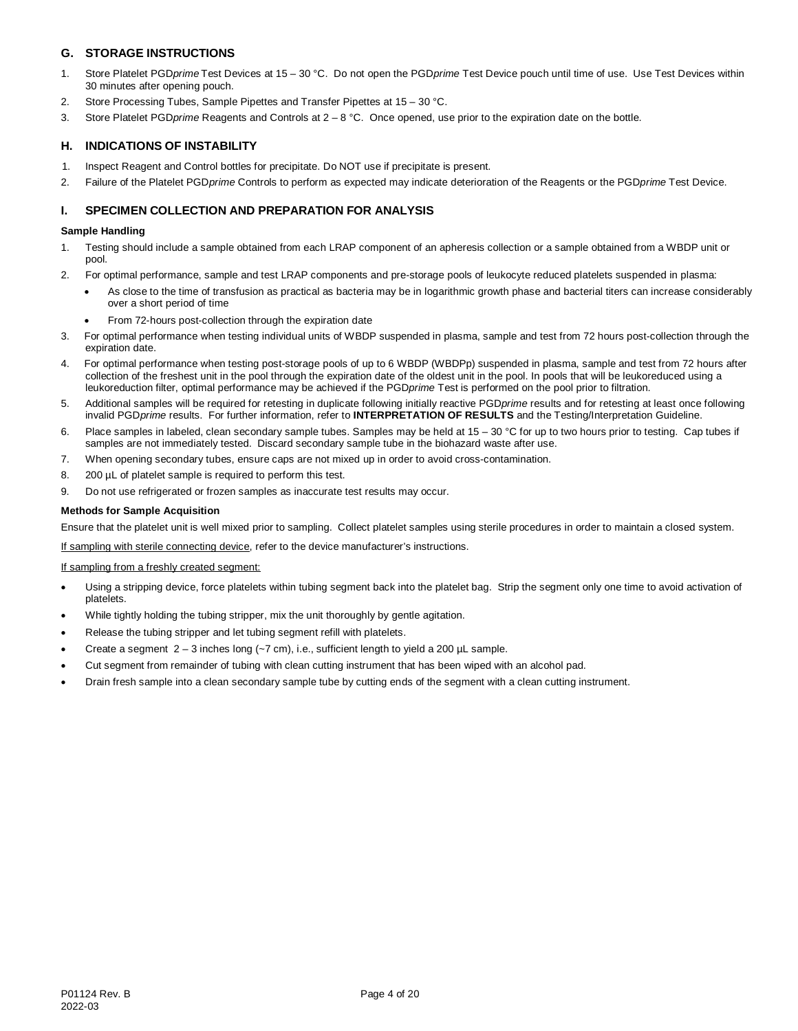# **G. STORAGE INSTRUCTIONS**

- 1. Store Platelet PGD*prime* Test Devices at 15 30 °C. Do not open the PGD*prime* Test Device pouch until time of use. Use Test Devices within 30 minutes after opening pouch.
- 2. Store Processing Tubes, Sample Pipettes and Transfer Pipettes at 15 30 °C.
- 3. Store Platelet PGD*prime* Reagents and Controls at 2 8 °C. Once opened, use prior to the expiration date on the bottle.

# **H. INDICATIONS OF INSTABILITY**

- 1. Inspect Reagent and Control bottles for precipitate. Do NOT use if precipitate is present.
- 2. Failure of the Platelet PGD*prime* Controls to perform as expected may indicate deterioration of the Reagents or the PGD*prime* Test Device.

# **I. SPECIMEN COLLECTION AND PREPARATION FOR ANALYSIS**

## **Sample Handling**

- 1. Testing should include a sample obtained from each LRAP component of an apheresis collection or a sample obtained from a WBDP unit or pool.
- 2. For optimal performance, sample and test LRAP components and pre-storage pools of leukocyte reduced platelets suspended in plasma:
	- As close to the time of transfusion as practical as bacteria may be in logarithmic growth phase and bacterial titers can increase considerably over a short period of time
	- From 72-hours post-collection through the expiration date
- 3. For optimal performance when testing individual units of WBDP suspended in plasma, sample and test from 72 hours post-collection through the expiration date.
- 4. For optimal performance when testing post-storage pools of up to 6 WBDP (WBDPp) suspended in plasma, sample and test from 72 hours after collection of the freshest unit in the pool through the expiration date of the oldest unit in the pool. In pools that will be leukoreduced using a leukoreduction filter, optimal performance may be achieved if the PGD*prime* Test is performed on the pool prior to filtration.
- 5. Additional samples will be required for retesting in duplicate following initially reactive PGD*prime* results and for retesting at least once following invalid PGD*prime* results. For further information, refer to **INTERPRETATION OF RESULTS** and the Testing/Interpretation Guideline.
- 6. Place samples in labeled, clean secondary sample tubes. Samples may be held at 15 30 °C for up to two hours prior to testing. Cap tubes if samples are not immediately tested. Discard secondary sample tube in the biohazard waste after use.
- 7. When opening secondary tubes, ensure caps are not mixed up in order to avoid cross-contamination.
- 8. 200 µL of platelet sample is required to perform this test.
- 9. Do not use refrigerated or frozen samples as inaccurate test results may occur.

#### **Methods for Sample Acquisition**

Ensure that the platelet unit is well mixed prior to sampling. Collect platelet samples using sterile procedures in order to maintain a closed system.

If sampling with sterile connecting device, refer to the device manufacturer's instructions.

## If sampling from a freshly created segment:

- Using a stripping device, force platelets within tubing segment back into the platelet bag. Strip the segment only one time to avoid activation of platelets.
- While tightly holding the tubing stripper, mix the unit thoroughly by gentle agitation.
- Release the tubing stripper and let tubing segment refill with platelets.
- Create a segment  $2 3$  inches long ( $-7$  cm), i.e., sufficient length to yield a 200  $\mu$ L sample.
- Cut segment from remainder of tubing with clean cutting instrument that has been wiped with an alcohol pad.
- Drain fresh sample into a clean secondary sample tube by cutting ends of the segment with a clean cutting instrument.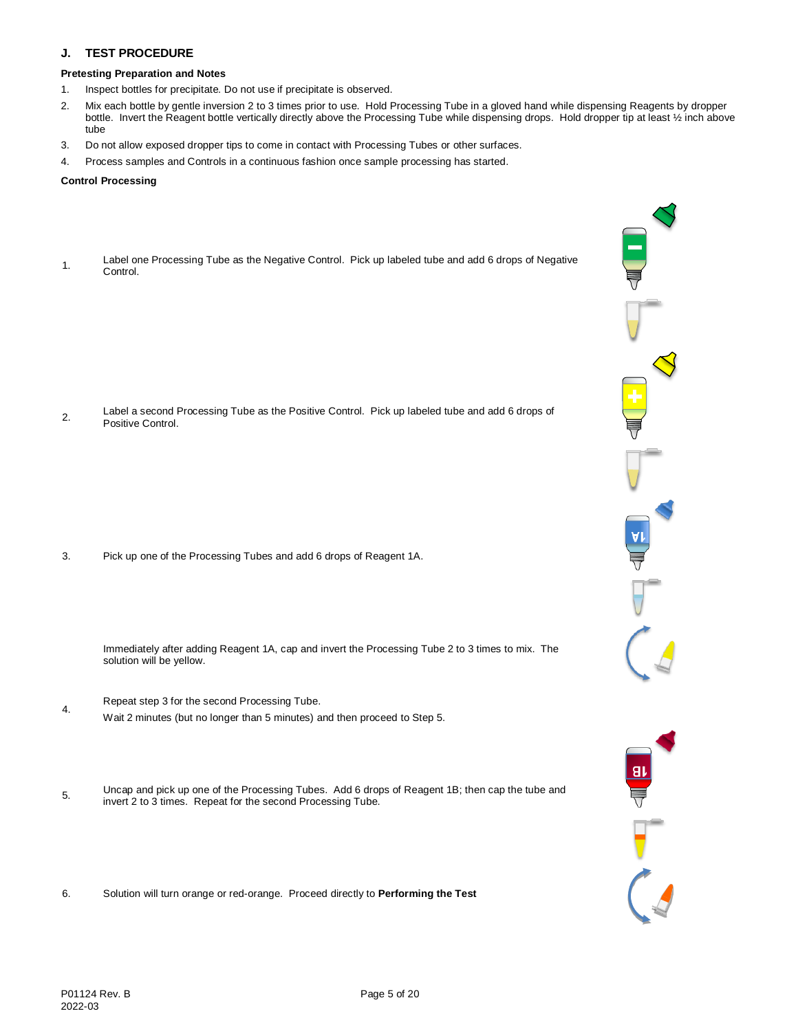# **J. TEST PROCEDURE**

## **Pretesting Preparation and Notes**

- 1. Inspect bottles for precipitate. Do not use if precipitate is observed.
- 2. Mix each bottle by gentle inversion 2 to 3 times prior to use. Hold Processing Tube in a gloved hand while dispensing Reagents by dropper bottle. Invert the Reagent bottle vertically directly above the Processing Tube while dispensing drops. Hold dropper tip at least ½ inch above tube
- 3. Do not allow exposed dropper tips to come in contact with Processing Tubes or other surfaces.
- 4. Process samples and Controls in a continuous fashion once sample processing has started.

## **Control Processing**

1. Label one Processing Tube as the Negative Control. Pick up labeled tube and add 6 drops of Negative Control.

2. Label a second Processing Tube as the Positive Control. Pick up labeled tube and add 6 drops of Positive Control.

3. Pick up one of the Processing Tubes and add 6 drops of Reagent 1A.

Immediately after adding Reagent 1A, cap and invert the Processing Tube 2 to 3 times to mix. The solution will be yellow.

- Repeat step 3 for the second Processing Tube. Wait 2 minutes (but no longer than 5 minutes) and then proceed to Step 5.
- 5. Uncap and pick up one of the Processing Tubes. Add 6 drops of Reagent 1B; then cap the tube and<br>  $\frac{1}{2}$ invert 2 to 3 times. Repeat for the second Processing Tube.
- 6. Solution will turn orange or red-orange. Proceed directly to **Performing the Test**

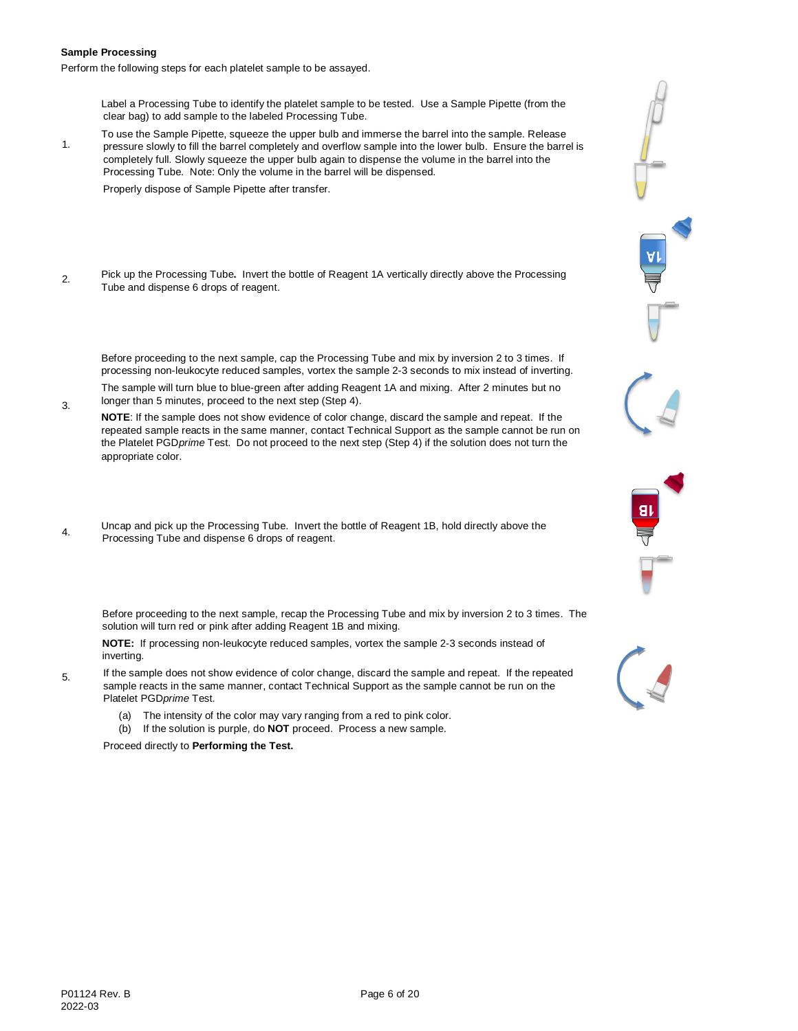### **Sample Processing**

Perform the following steps for each platelet sample to be assayed.

Label a Processing Tube to identify the platelet sample to be tested. Use a Sample Pipette (from the clear bag) to add sample to the labeled Processing Tube.

1. To use the Sample Pipette, squeeze the upper bulb and immerse the barrel into the sample. Release pressure slowly to fill the barrel completely and overflow sample into the lower bulb. Ensure the barrel is completely full. Slowly squeeze the upper bulb again to dispense the volume in the barrel into the Processing Tube. Note: Only the volume in the barrel will be dispensed.

Properly dispose of Sample Pipette after transfer.

2. Pick up the Processing Tube**.** Invert the bottle of Reagent 1A vertically directly above the Processing Tube and dispense 6 drops of reagent.

Before proceeding to the next sample, cap the Processing Tube and mix by inversion 2 to 3 times. If processing non-leukocyte reduced samples, vortex the sample 2-3 seconds to mix instead of inverting.

- 3. The sample will turn blue to blue-green after adding Reagent 1A and mixing. After 2 minutes but no longer than 5 minutes, proceed to the next step (Step 4).
- **NOTE**: If the sample does not show evidence of color change, discard the sample and repeat. If the repeated sample reacts in the same manner, contact Technical Support as the sample cannot be run on the Platelet PGD*prime* Test. Do not proceed to the next step (Step 4) if the solution does not turn the appropriate color.
- Uncap and pick up the Processing Tube. Invert the bottle of Reagent 1B, hold directly above the Processing Tube and dispense 6 drops of reagent.
	- Before proceeding to the next sample, recap the Processing Tube and mix by inversion 2 to 3 times. The solution will turn red or pink after adding Reagent 1B and mixing.

**NOTE:** If processing non-leukocyte reduced samples, vortex the sample 2-3 seconds instead of inverting.

- 5. If the sample does not show evidence of color change, discard the sample and repeat. If the repeated sample reacts in the same manner, contact Technical Support as the sample cannot be run on the Platelet PGD*prime* Test.
	- (a) The intensity of the color may vary ranging from a red to pink color.
	- (b) If the solution is purple, do **NOT** proceed. Process a new sample.

Proceed directly to **Performing the Test.**

e<br>Ar

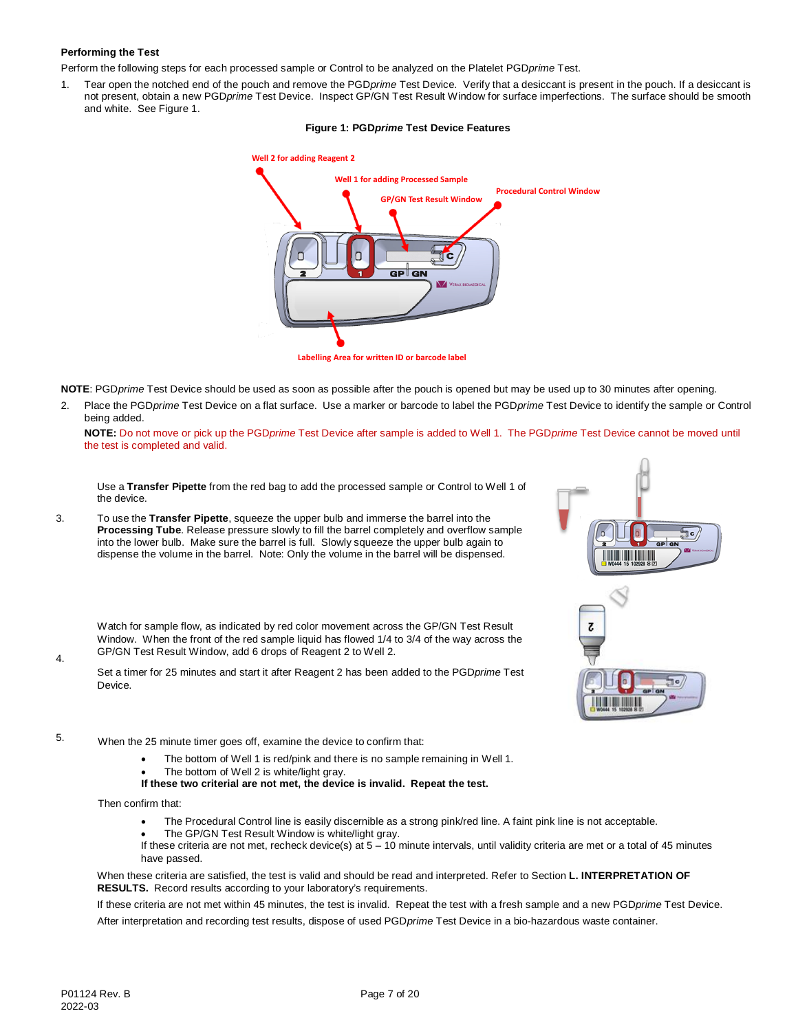# **Performing the Test**

Perform the following steps for each processed sample or Control to be analyzed on the Platelet PGD*prime* Test.

1. Tear open the notched end of the pouch and remove the PGD*prime* Test Device. Verify that a desiccant is present in the pouch. If a desiccant is not present, obtain a new PGD*prime* Test Device. Inspect GP/GN Test Result Window for surface imperfections. The surface should be smooth and white. See Figure 1.

## **Figure 1: PGD***prime* **Test Device Features**



**Labelling Area for written ID or barcode label**

**NOTE**: PGD*prime* Test Device should be used as soon as possible after the pouch is opened but may be used up to 30 minutes after opening.

2. Place the PGD*prime* Test Device on a flat surface. Use a marker or barcode to label the PGD*prime* Test Device to identify the sample or Control being added.

**NOTE:** Do not move or pick up the PGD*prime* Test Device after sample is added to Well 1. The PGD*prime* Test Device cannot be moved until the test is completed and valid.

Use a **Transfer Pipette** from the red bag to add the processed sample or Control to Well 1 of the device.

3. To use the **Transfer Pipette**, squeeze the upper bulb and immerse the barrel into the **Processing Tube**. Release pressure slowly to fill the barrel completely and overflow sample into the lower bulb. Make sure the barrel is full. Slowly squeeze the upper bulb again to dispense the volume in the barrel. Note: Only the volume in the barrel will be dispensed.

Z 'nе. **. . . . . . . . . . . . . . . . . .** 

Watch for sample flow, as indicated by red color movement across the GP/GN Test Result Window. When the front of the red sample liquid has flowed 1/4 to 3/4 of the way across the GP/GN Test Result Window, add 6 drops of Reagent 2 to Well 2.

Set a timer for 25 minutes and start it after Reagent 2 has been added to the PGD*prime* Test Device.

- 5. When the 25 minute timer goes off, examine the device to confirm that:
	- The bottom of Well 1 is red/pink and there is no sample remaining in Well 1.
	- The bottom of Well 2 is white/light gray.
	- **If these two criterial are not met, the device is invalid. Repeat the test.**

Then confirm that:

- The Procedural Control line is easily discernible as a strong pink/red line. A faint pink line is not acceptable.
- The GP/GN Test Result Window is white/light gray.

If these criteria are not met, recheck device(s) at  $5 - 10$  minute intervals, until validity criteria are met or a total of 45 minutes have passed.

When these criteria are satisfied, the test is valid and should be read and interpreted. Refer to Section **L. INTERPRETATION OF RESULTS.** Record results according to your laboratory's requirements.

If these criteria are not met within 45 minutes, the test is invalid. Repeat the test with a fresh sample and a new PGD*prime* Test Device. After interpretation and recording test results, dispose of used PGD*prime* Test Device in a bio-hazardous waste container.

4.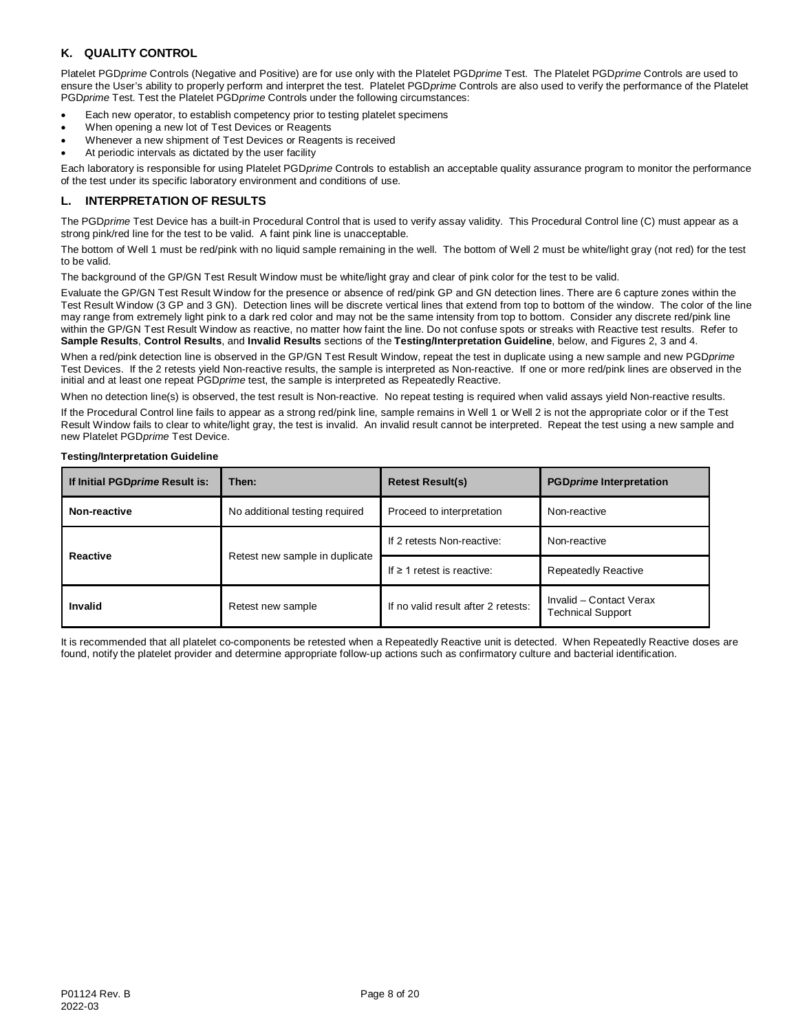# **K. QUALITY CONTROL**

Platelet PGD*prime* Controls (Negative and Positive) are for use only with the Platelet PGD*prime* Test. The Platelet PGD*prime* Controls are used to ensure the User's ability to properly perform and interpret the test. Platelet PGD*prime* Controls are also used to verify the performance of the Platelet PGD*prime* Test. Test the Platelet PGD*prime* Controls under the following circumstances:

- Each new operator, to establish competency prior to testing platelet specimens
- When opening a new lot of Test Devices or Reagents
- Whenever a new shipment of Test Devices or Reagents is received
- At periodic intervals as dictated by the user facility

Each laboratory is responsible for using Platelet PGD*prime* Controls to establish an acceptable quality assurance program to monitor the performance of the test under its specific laboratory environment and conditions of use.

# **L. INTERPRETATION OF RESULTS**

The PGD*prime* Test Device has a built-in Procedural Control that is used to verify assay validity. This Procedural Control line (C) must appear as a strong pink/red line for the test to be valid. A faint pink line is unacceptable.

The bottom of Well 1 must be red/pink with no liquid sample remaining in the well. The bottom of Well 2 must be white/light gray (not red) for the test to be valid.

The background of the GP/GN Test Result Window must be white/light gray and clear of pink color for the test to be valid.

Evaluate the GP/GN Test Result Window for the presence or absence of red/pink GP and GN detection lines. There are 6 capture zones within the Test Result Window (3 GP and 3 GN). Detection lines will be discrete vertical lines that extend from top to bottom of the window. The color of the line may range from extremely light pink to a dark red color and may not be the same intensity from top to bottom. Consider any discrete red/pink line within the GP/GN Test Result Window as reactive, no matter how faint the line. Do not confuse spots or streaks with Reactive test results. Refer to **Sample Results**, **Control Results**, and **Invalid Results** sections of the **Testing/Interpretation Guideline**, below, and Figures 2, 3 and 4.

When a red/pink detection line is observed in the GP/GN Test Result Window, repeat the test in duplicate using a new sample and new PGD*prime* Test Devices. If the 2 retests yield Non-reactive results, the sample is interpreted as Non-reactive. If one or more red/pink lines are observed in the initial and at least one repeat PGDprime test, the sample is interpreted as Repeatedly Reactive.

When no detection line(s) is observed, the test result is Non-reactive. No repeat testing is required when valid assays yield Non-reactive results.

If the Procedural Control line fails to appear as a strong red/pink line, sample remains in Well 1 or Well 2 is not the appropriate color or if the Test Result Window fails to clear to white/light gray, the test is invalid. An invalid result cannot be interpreted. Repeat the test using a new sample and new Platelet PGD*prime* Test Device.

## **Testing/Interpretation Guideline**

| If Initial PGDprime Result is: | Then:                          | <b>Retest Result(s)</b>             | <b>PGDprime Interpretation</b>                      |  |  |
|--------------------------------|--------------------------------|-------------------------------------|-----------------------------------------------------|--|--|
| Non-reactive                   | No additional testing required | Proceed to interpretation           | Non-reactive                                        |  |  |
| <b>Reactive</b>                | Retest new sample in duplicate | If 2 retests Non-reactive:          | Non-reactive                                        |  |  |
|                                |                                | If $\geq$ 1 retest is reactive:     | <b>Repeatedly Reactive</b>                          |  |  |
| Invalid<br>Retest new sample   |                                | If no valid result after 2 retests: | Invalid - Contact Verax<br><b>Technical Support</b> |  |  |

It is recommended that all platelet co-components be retested when a Repeatedly Reactive unit is detected. When Repeatedly Reactive doses are found, notify the platelet provider and determine appropriate follow-up actions such as confirmatory culture and bacterial identification.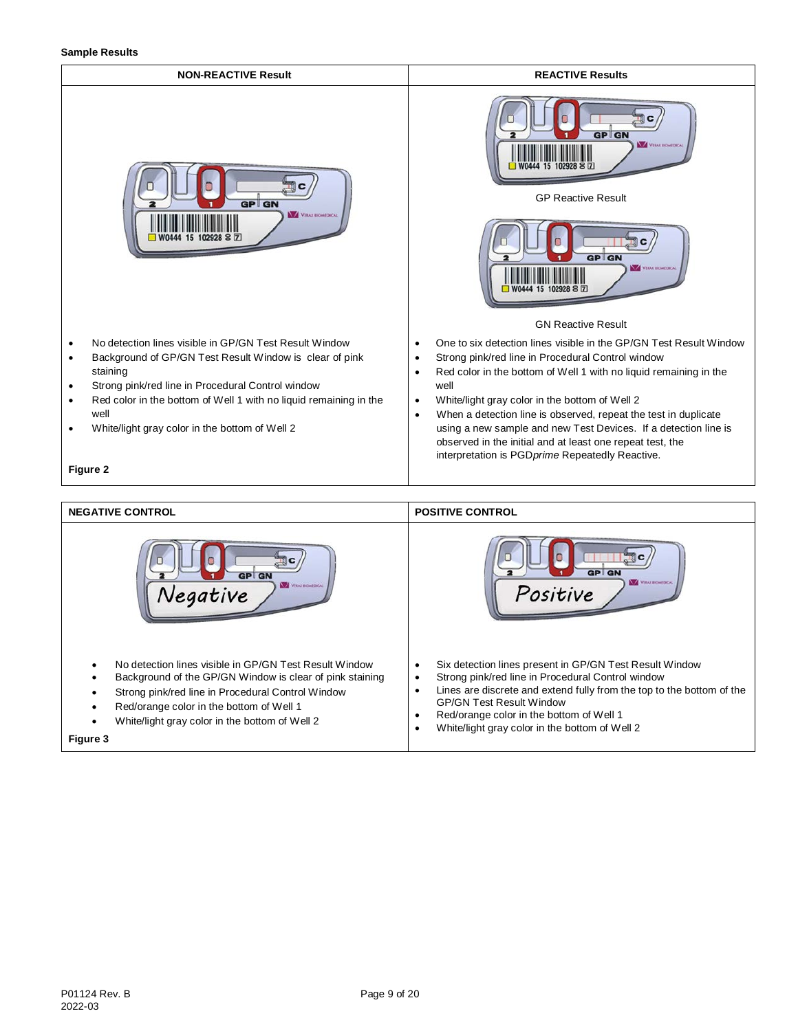**Sample Results**



**Figure 3**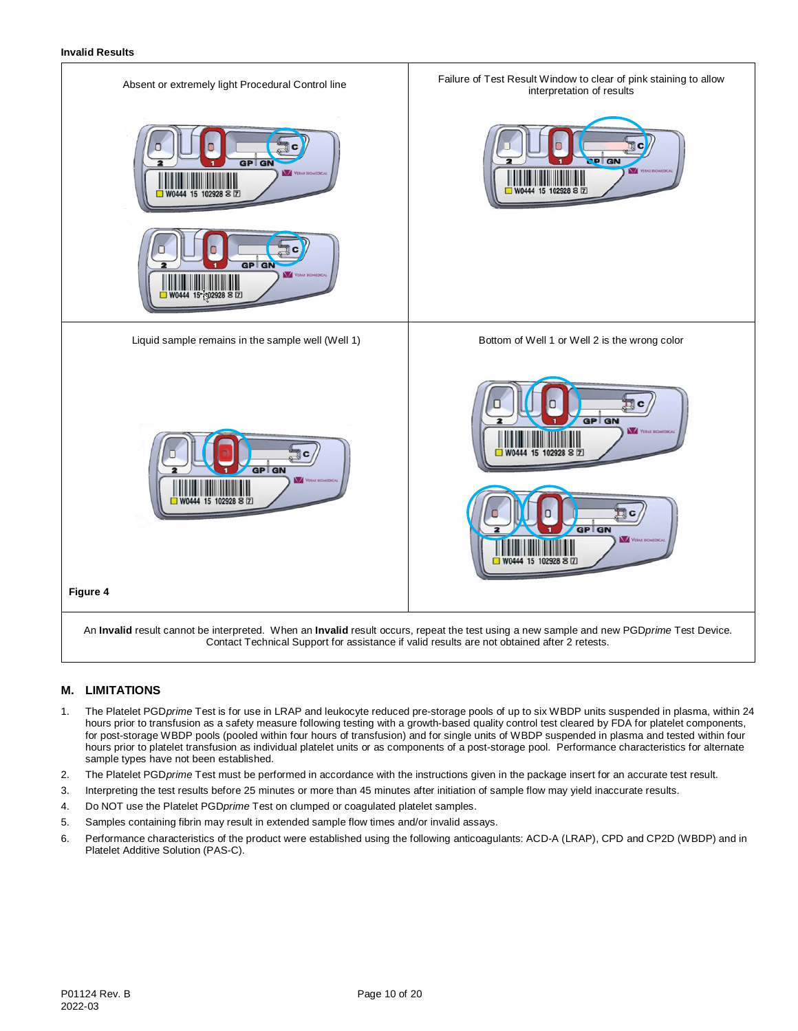

# **M. LIMITATIONS**

- 1. The Platelet PGD*prime* Test is for use in LRAP and leukocyte reduced pre-storage pools of up to six WBDP units suspended in plasma, within 24 hours prior to transfusion as a safety measure following testing with a growth-based quality control test cleared by FDA for platelet components, for post-storage WBDP pools (pooled within four hours of transfusion) and for single units of WBDP suspended in plasma and tested within four hours prior to platelet transfusion as individual platelet units or as components of a post-storage pool. Performance characteristics for alternate sample types have not been established.
- 2. The Platelet PGD*prime* Test must be performed in accordance with the instructions given in the package insert for an accurate test result.
- 3. Interpreting the test results before 25 minutes or more than 45 minutes after initiation of sample flow may yield inaccurate results.
- 4. Do NOT use the Platelet PGD*prime* Test on clumped or coagulated platelet samples.
- 5. Samples containing fibrin may result in extended sample flow times and/or invalid assays.
- 6. Performance characteristics of the product were established using the following anticoagulants: ACD-A (LRAP), CPD and CP2D (WBDP) and in Platelet Additive Solution (PAS-C).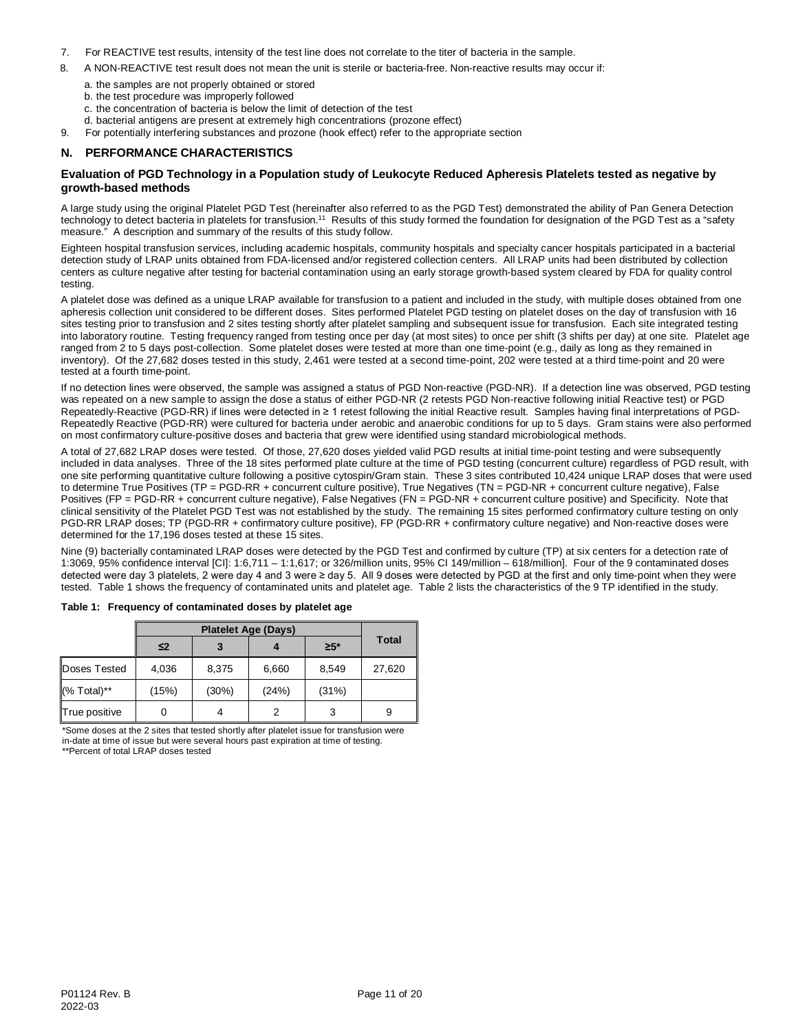- 7. For REACTIVE test results, intensity of the test line does not correlate to the titer of bacteria in the sample.
- 8. A NON-REACTIVE test result does not mean the unit is sterile or bacteria-free. Non-reactive results may occur if:
	- a. the samples are not properly obtained or stored
	- b. the test procedure was improperly followed
	- c. the concentration of bacteria is below the limit of detection of the test
	- d. bacterial antigens are present at extremely high concentrations (prozone effect)
- 9. For potentially interfering substances and prozone (hook effect) refer to the appropriate section

# **N. PERFORMANCE CHARACTERISTICS**

## **Evaluation of PGD Technology in a Population study of Leukocyte Reduced Apheresis Platelets tested as negative by growth-based methods**

A large study using the original Platelet PGD Test (hereinafter also referred to as the PGD Test) demonstrated the ability of Pan Genera Detection technology to detect bacteria in platelets for transfusion.<sup>11</sup> Results of this study formed the foundation for designation of the PGD Test as a "safety measure." A description and summary of the results of this study follow.

Eighteen hospital transfusion services, including academic hospitals, community hospitals and specialty cancer hospitals participated in a bacterial detection study of LRAP units obtained from FDA-licensed and/or registered collection centers. All LRAP units had been distributed by collection centers as culture negative after testing for bacterial contamination using an early storage growth-based system cleared by FDA for quality control testing.

A platelet dose was defined as a unique LRAP available for transfusion to a patient and included in the study, with multiple doses obtained from one apheresis collection unit considered to be different doses. Sites performed Platelet PGD testing on platelet doses on the day of transfusion with 16 sites testing prior to transfusion and 2 sites testing shortly after platelet sampling and subsequent issue for transfusion. Each site integrated testing into laboratory routine. Testing frequency ranged from testing once per day (at most sites) to once per shift (3 shifts per day) at one site. Platelet age ranged from 2 to 5 days post-collection. Some platelet doses were tested at more than one time-point (e.g., daily as long as they remained in inventory). Of the 27,682 doses tested in this study, 2,461 were tested at a second time-point, 202 were tested at a third time-point and 20 were tested at a fourth time-point.

If no detection lines were observed, the sample was assigned a status of PGD Non-reactive (PGD-NR). If a detection line was observed, PGD testing was repeated on a new sample to assign the dose a status of either PGD-NR (2 retests PGD Non-reactive following initial Reactive test) or PGD Repeatedly-Reactive (PGD-RR) if lines were detected in ≥ 1 retest following the initial Reactive result. Samples having final interpretations of PGD-Repeatedly Reactive (PGD-RR) were cultured for bacteria under aerobic and anaerobic conditions for up to 5 days. Gram stains were also performed on most confirmatory culture-positive doses and bacteria that grew were identified using standard microbiological methods.

A total of 27,682 LRAP doses were tested. Of those, 27,620 doses yielded valid PGD results at initial time-point testing and were subsequently included in data analyses. Three of the 18 sites performed plate culture at the time of PGD testing (concurrent culture) regardless of PGD result, with one site performing quantitative culture following a positive cytospin/Gram stain. These 3 sites contributed 10,424 unique LRAP doses that were used to determine True Positives (TP = PGD-RR + concurrent culture positive), True Negatives (TN = PGD-NR + concurrent culture negative), False Positives (FP = PGD-RR + concurrent culture negative), False Negatives (FN = PGD-NR + concurrent culture positive) and Specificity. Note that clinical sensitivity of the Platelet PGD Test was not established by the study. The remaining 15 sites performed confirmatory culture testing on only PGD-RR LRAP doses; TP (PGD-RR + confirmatory culture positive), FP (PGD-RR + confirmatory culture negative) and Non-reactive doses were determined for the 17,196 doses tested at these 15 sites.

Nine (9) bacterially contaminated LRAP doses were detected by the PGD Test and confirmed by culture (TP) at six centers for a detection rate of 1:3069, 95% confidence interval [CI]: 1:6,711 – 1:1,617; or 326/million units, 95% CI 149/million – 618/million]. Four of the 9 contaminated doses detected were day 3 platelets, 2 were day 4 and 3 were ≥ day 5. All 9 doses were detected by PGD at the first and only time-point when they were tested. Table 1 shows the frequency of contaminated units and platelet age. Table 2 lists the characteristics of the 9 TP identified in the study.

|               | ≤2    |       |       | $\geq 5^*$ | <b>Total</b> |  |
|---------------|-------|-------|-------|------------|--------------|--|
| Doses Tested  | 4,036 | 8,375 | 6,660 | 8,549      | 27,620       |  |
| (% Total)**   | (15%) | (30%) | (24%) | (31%)      |              |  |
| True positive |       |       | 2     | 3          | 9            |  |

**Table 1: Frequency of contaminated doses by platelet age**

\*Some doses at the 2 sites that tested shortly after platelet issue for transfusion were in-date at time of issue but were several hours past expiration at time of testing. \*\*Percent of total LRAP doses tested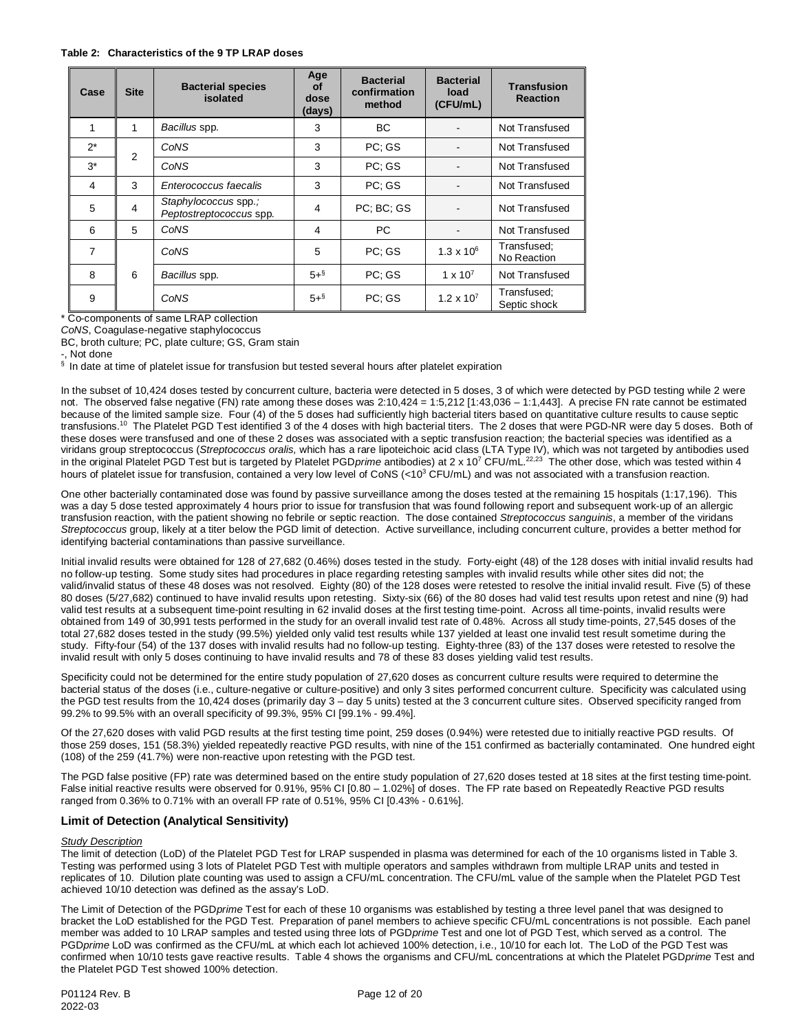#### **Table 2: Characteristics of the 9 TP LRAP doses**

| Case           | <b>Bacterial species</b><br><b>Site</b><br>isolated |                                                 | Age<br><b>of</b><br>dose<br>(days) | <b>Bacterial</b><br>confirmation<br>method | <b>Bacterial</b><br>load<br>(CFU/mL) | <b>Transfusion</b><br><b>Reaction</b> |
|----------------|-----------------------------------------------------|-------------------------------------------------|------------------------------------|--------------------------------------------|--------------------------------------|---------------------------------------|
| 1              | 1                                                   | Bacillus spp.                                   | 3                                  | BC.                                        |                                      | Not Transfused                        |
| $2^*$          | 2                                                   | CoNS                                            | 3                                  | PC: GS                                     |                                      | Not Transfused                        |
| $3^*$          |                                                     | CoNS                                            | 3                                  | PC: GS                                     |                                      | Not Transfused                        |
| 4              | 3                                                   | Enterococcus faecalis                           | 3                                  | PC: GS                                     |                                      | Not Transfused                        |
| 5              | $\overline{4}$                                      | Staphylococcus spp.;<br>Peptostreptococcus spp. | 4                                  | PC: BC: GS                                 | $\overline{\phantom{a}}$             | Not Transfused                        |
| 6              | 5                                                   | CoNS                                            | 4                                  | PC.                                        |                                      | Not Transfused                        |
| $\overline{7}$ |                                                     | CoNS                                            | 5                                  | PC: GS                                     | $1.3 \times 10^{6}$                  | Transfused;<br>No Reaction            |
| 8              | 6                                                   | Bacillus spp.                                   | $5 +$ <sup>§</sup>                 | PC: GS                                     | $1 \times 10^{7}$                    | Not Transfused                        |
| 9              |                                                     | CoNS                                            | $5 +$ <sup>§</sup>                 | PC: GS                                     | $1.2 \times 10^{7}$                  | Transfused;<br>Septic shock           |

\* Co-components of same LRAP collection

*CoNS*, Coagulase-negative staphylococcus

BC, broth culture; PC, plate culture; GS, Gram stain

-, Not done

 $\frac{s}{s}$  In date at time of platelet issue for transfusion but tested several hours after platelet expiration

In the subset of 10,424 doses tested by concurrent culture, bacteria were detected in 5 doses, 3 of which were detected by PGD testing while 2 were not. The observed false negative (FN) rate among these doses was 2:10,424 = 1:5,212 [1:43,036 – 1:1,443]. A precise FN rate cannot be estimated because of the limited sample size. Four (4) of the 5 doses had sufficiently high bacterial titers based on quantitative culture results to cause septic transfusions.<sup>10</sup> The Platelet PGD Test identified 3 of the 4 doses with high bacterial titers. The 2 doses that were PGD-NR were day 5 doses. Both of these doses were transfused and one of these 2 doses was associated with a septic transfusion reaction; the bacterial species was identified as a viridans group streptococcus (*Streptococcus oralis,* which has a rare lipoteichoic acid class (LTA Type IV), which was not targeted by antibodies used in the original Platelet PGD Test but is targeted by Platelet PGD*prime* antibodies) at 2 x 10<sup>7</sup> CFU/mL.<sup>22,23</sup> The other dose, which was tested within 4 hours of platelet issue for transfusion, contained a very low level of CoNS (<10<sup>3</sup> CFU/mL) and was not associated with a transfusion reaction.

One other bacterially contaminated dose was found by passive surveillance among the doses tested at the remaining 15 hospitals (1:17,196). This was a day 5 dose tested approximately 4 hours prior to issue for transfusion that was found following report and subsequent work-up of an allergic transfusion reaction, with the patient showing no febrile or septic reaction. The dose contained *Streptococcus sanguinis*, a member of the viridans *Streptococcus* group, likely at a titer below the PGD limit of detection. Active surveillance, including concurrent culture, provides a better method for identifying bacterial contaminations than passive surveillance.

Initial invalid results were obtained for 128 of 27,682 (0.46%) doses tested in the study. Forty-eight (48) of the 128 doses with initial invalid results had no follow-up testing. Some study sites had procedures in place regarding retesting samples with invalid results while other sites did not; the valid/invalid status of these 48 doses was not resolved. Eighty (80) of the 128 doses were retested to resolve the initial invalid result. Five (5) of these 80 doses (5/27,682) continued to have invalid results upon retesting. Sixty-six (66) of the 80 doses had valid test results upon retest and nine (9) had valid test results at a subsequent time-point resulting in 62 invalid doses at the first testing time-point. Across all time-points, invalid results were obtained from 149 of 30,991 tests performed in the study for an overall invalid test rate of 0.48%. Across all study time-points, 27,545 doses of the total 27,682 doses tested in the study (99.5%) yielded only valid test results while 137 yielded at least one invalid test result sometime during the study. Fifty-four (54) of the 137 doses with invalid results had no follow-up testing. Eighty-three (83) of the 137 doses were retested to resolve the invalid result with only 5 doses continuing to have invalid results and 78 of these 83 doses yielding valid test results.

Specificity could not be determined for the entire study population of 27,620 doses as concurrent culture results were required to determine the bacterial status of the doses (i.e., culture-negative or culture-positive) and only 3 sites performed concurrent culture. Specificity was calculated using the PGD test results from the 10,424 doses (primarily day 3 – day 5 units) tested at the 3 concurrent culture sites. Observed specificity ranged from 99.2% to 99.5% with an overall specificity of 99.3%, 95% CI [99.1% - 99.4%].

Of the 27,620 doses with valid PGD results at the first testing time point, 259 doses (0.94%) were retested due to initially reactive PGD results. Of those 259 doses, 151 (58.3%) yielded repeatedly reactive PGD results, with nine of the 151 confirmed as bacterially contaminated. One hundred eight (108) of the 259 (41.7%) were non-reactive upon retesting with the PGD test.

The PGD false positive (FP) rate was determined based on the entire study population of 27,620 doses tested at 18 sites at the first testing time-point. False initial reactive results were observed for 0.91%, 95% CI [0.80 – 1.02%] of doses. The FP rate based on Repeatedly Reactive PGD results ranged from 0.36% to 0.71% with an overall FP rate of 0.51%, 95% CI [0.43% - 0.61%].

# **Limit of Detection (Analytical Sensitivity)**

#### *Study Description*

The limit of detection (LoD) of the Platelet PGD Test for LRAP suspended in plasma was determined for each of the 10 organisms listed in Table 3. Testing was performed using 3 lots of Platelet PGD Test with multiple operators and samples withdrawn from multiple LRAP units and tested in replicates of 10. Dilution plate counting was used to assign a CFU/mL concentration. The CFU/mL value of the sample when the Platelet PGD Test achieved 10/10 detection was defined as the assay's LoD.

The Limit of Detection of the PGD*prime* Test for each of these 10 organisms was established by testing a three level panel that was designed to bracket the LoD established for the PGD Test. Preparation of panel members to achieve specific CFU/mL concentrations is not possible. Each panel member was added to 10 LRAP samples and tested using three lots of PGD*prime* Test and one lot of PGD Test, which served as a control. The PGD*prime* LoD was confirmed as the CFU/mL at which each lot achieved 100% detection, i.e., 10/10 for each lot. The LoD of the PGD Test was confirmed when 10/10 tests gave reactive results. Table 4 shows the organisms and CFU/mL concentrations at which the Platelet PGD*prime* Test and the Platelet PGD Test showed 100% detection.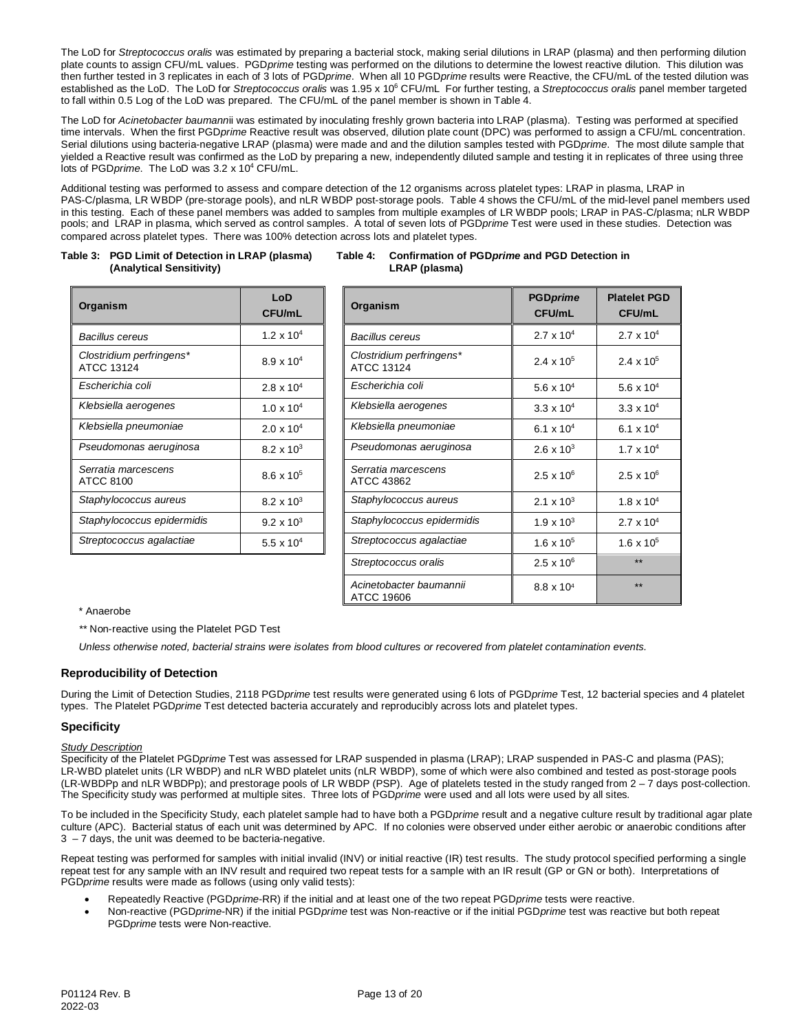The LoD for *Streptococcus oralis* was estimated by preparing a bacterial stock, making serial dilutions in LRAP (plasma) and then performing dilution plate counts to assign CFU/mL values. PGD*prime* testing was performed on the dilutions to determine the lowest reactive dilution. This dilution was then further tested in 3 replicates in each of 3 lots of PGD*prime*. When all 10 PGD*prime* results were Reactive, the CFU/mL of the tested dilution was established as the LoD. The LoD for *Streptococcus oralis* was 1.95 x 106 CFU/mL For further testing, a *Streptococcus oralis* panel member targeted to fall within 0.5 Log of the LoD was prepared. The CFU/mL of the panel member is shown in Table 4.

The LoD for *Acinetobacter baumann*ii was estimated by inoculating freshly grown bacteria into LRAP (plasma). Testing was performed at specified time intervals. When the first PGD*prime* Reactive result was observed, dilution plate count (DPC) was performed to assign a CFU/mL concentration. Serial dilutions using bacteria-negative LRAP (plasma) were made and and the dilution samples tested with PGD*prime*. The most dilute sample that yielded a Reactive result was confirmed as the LoD by preparing a new, independently diluted sample and testing it in replicates of three using three lots of PGD*prime*. The LoD was 3.2 x 104 CFU/mL.

Additional testing was performed to assess and compare detection of the 12 organisms across platelet types: LRAP in plasma, LRAP in PAS-C/plasma, LR WBDP (pre-storage pools), and nLR WBDP post-storage pools. Table 4 shows the CFU/mL of the mid-level panel members used in this testing. Each of these panel members was added to samples from multiple examples of LR WBDP pools; LRAP in PAS-C/plasma; nLR WBDP pools; and LRAP in plasma, which served as control samples. A total of seven lots of PGD*prime* Test were used in these studies. Detection was compared across platelet types. There was 100% detection across lots and platelet types.

#### **Table 3: PGD Limit of Detection in LRAP (plasma) Table 4: Confirmation of PGD***prime* **and PGD Detection in (Analytical Sensitivity)**

| Organism                                      | LoD<br>CFU/mL       | Organism                                      |
|-----------------------------------------------|---------------------|-----------------------------------------------|
| <b>Bacillus cereus</b>                        | $1.2 \times 10^{4}$ | <b>Bacillus cereus</b>                        |
| Clostridium perfringens*<br><b>ATCC 13124</b> | $8.9 \times 10^{4}$ | Clostridium perfringens'<br><b>ATCC 13124</b> |
| Escherichia coli                              | $2.8 \times 10^{4}$ | Escherichia coli                              |
| Klebsiella aerogenes                          | $1.0 \times 10^{4}$ | Klebsiella aerogenes                          |
| Klebsiella pneumoniae                         | $2.0 \times 10^{4}$ | Klebsiella pneumoniae                         |
| Pseudomonas aeruginosa                        | $8.2 \times 10^{3}$ | Pseudomonas aerugino                          |
| Serratia marcescens<br>ATCC 8100              | $8.6 \times 10^{5}$ | Serratia marcescens<br>ATCC 43862             |
| Staphylococcus aureus                         | $8.2 \times 10^{3}$ | Staphylococcus aureus                         |
| Staphylococcus epidermidis                    | $9.2 \times 10^{3}$ | Staphylococcus epidern                        |
| Streptococcus agalactiae                      | 5.5 x $10^4$        | Streptococcus agalactia                       |

| Organism                               | LoD<br><b>CFU/mL</b> | Organism                               | <b>PGDprime</b><br><b>CFU/mL</b> | <b>Platelet PGD</b><br><b>CFU/mL</b> |
|----------------------------------------|----------------------|----------------------------------------|----------------------------------|--------------------------------------|
| Bacillus cereus                        | $1.2 \times 10^{4}$  | Bacillus cereus                        | $2.7 \times 10^{4}$              | $2.7 \times 10^{4}$                  |
| Clostridium perfringens*<br>ATCC 13124 | $8.9 \times 10^{4}$  | Clostridium perfringens*<br>ATCC 13124 | $2.4 \times 10^5$                | $2.4 \times 10^{5}$                  |
| Escherichia coli                       | $2.8 \times 10^{4}$  | Escherichia coli                       | 5.6 $\times$ 10 <sup>4</sup>     | 5.6 $\times$ 10 <sup>4</sup>         |
| Klebsiella aerogenes                   | $1.0 \times 10^{4}$  | Klebsiella aerogenes                   | $3.3 \times 10^{4}$              | $3.3 \times 10^{4}$                  |
| Klebsiella pneumoniae                  | $2.0 \times 10^{4}$  | Klebsiella pneumoniae                  | 6.1 x $10^4$                     | 6.1 x $10^4$                         |
| Pseudomonas aeruginosa                 | $8.2 \times 10^{3}$  | Pseudomonas aeruginosa                 | $2.6 \times 10^{3}$              | $1.7 \times 10^{4}$                  |
| Serratia marcescens<br>ATCC 8100       | $8.6 \times 10^5$    | Serratia marcescens<br>ATCC 43862      | $2.5 \times 10^{6}$              | $2.5 \times 10^6$                    |
| Staphylococcus aureus                  | $8.2 \times 10^{3}$  | Staphylococcus aureus                  | 2.1 $\times$ 10 <sup>3</sup>     | $1.8 \times 10^{4}$                  |
| Staphylococcus epidermidis             | $9.2 \times 10^{3}$  | Staphylococcus epidermidis             | $1.9 \times 10^{3}$              | $2.7 \times 10^{4}$                  |
| Streptococcus agalactiae               | 5.5 x $10^4$         | Streptococcus agalactiae               | $1.6 \times 10^{5}$              | $1.6 \times 10^{5}$                  |
|                                        |                      | Streptococcus oralis                   | $2.5 \times 10^{6}$              | $**$                                 |
|                                        |                      | Acinetobacter baumannii<br>ATCC 19606  | 8.8 x 10 <sup>4</sup>            | $**$                                 |

## \* Anaerobe

*\*\** Non-reactive using the Platelet PGD Test

*Unless otherwise noted, bacterial strains were isolates from blood cultures or recovered from platelet contamination events.*

# **Reproducibility of Detection**

During the Limit of Detection Studies, 2118 PGD*prime* test results were generated using 6 lots of PGD*prime* Test, 12 bacterial species and 4 platelet types. The Platelet PGD*prime* Test detected bacteria accurately and reproducibly across lots and platelet types.

# **Specificity**

## *Study Description*

Specificity of the Platelet PGD*prime* Test was assessed for LRAP suspended in plasma (LRAP); LRAP suspended in PAS-C and plasma (PAS); LR-WBD platelet units (LR WBDP) and nLR WBD platelet units (nLR WBDP), some of which were also combined and tested as post-storage pools (LR-WBDPp and nLR WBDPp); and prestorage pools of LR WBDP (PSP). Age of platelets tested in the study ranged from 2 – 7 days post-collection. The Specificity study was performed at multiple sites. Three lots of PGD*prime* were used and all lots were used by all sites*.*

To be included in the Specificity Study, each platelet sample had to have both a PGD*prime* result and a negative culture result by traditional agar plate culture (APC). Bacterial status of each unit was determined by APC. If no colonies were observed under either aerobic or anaerobic conditions after 3 – 7 days, the unit was deemed to be bacteria-negative.

Repeat testing was performed for samples with initial invalid (INV) or initial reactive (IR) test results. The study protocol specified performing a single repeat test for any sample with an INV result and required two repeat tests for a sample with an IR result (GP or GN or both). Interpretations of PGD*prime* results were made as follows (using only valid tests):

- Repeatedly Reactive (PGD*prime*-RR) if the initial and at least one of the two repeat PGD*prime* tests were reactive.
- Non-reactive (PGD*prime*-NR) if the initial PGD*prime* test was Non-reactive or if the initial PGD*prime* test was reactive but both repeat PGD*prime* tests were Non-reactive.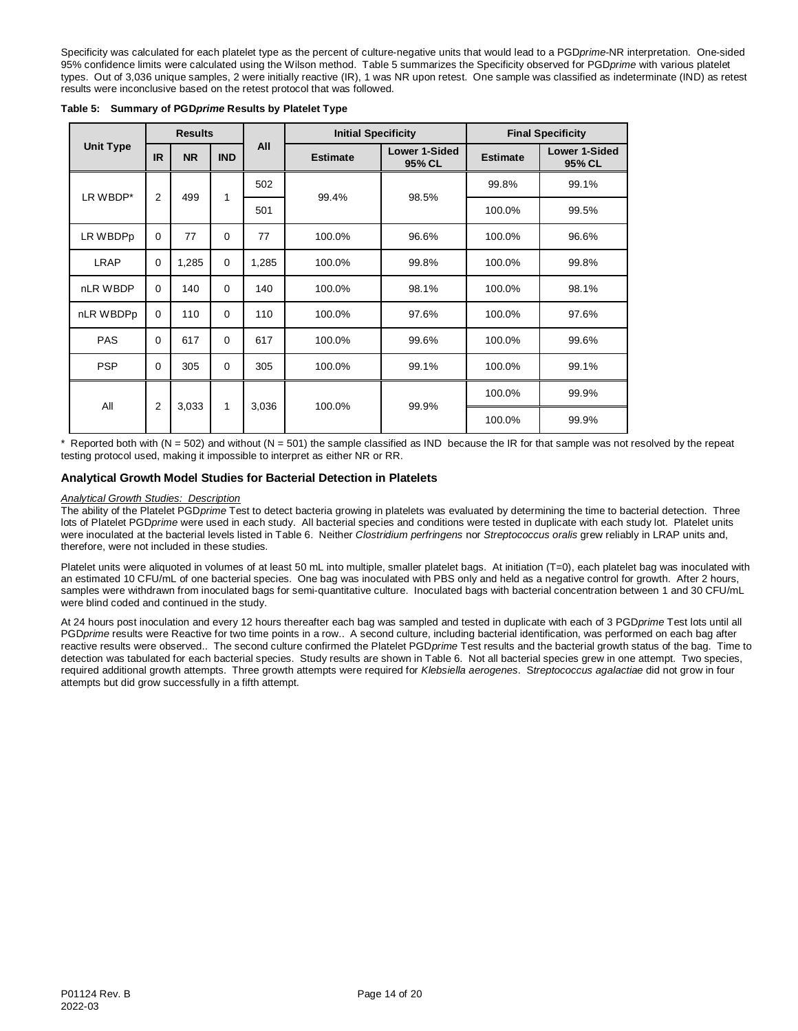Specificity was calculated for each platelet type as the percent of culture-negative units that would lead to a PGD*prime-*NR interpretation. One-sided 95% confidence limits were calculated using the Wilson method. Table 5 summarizes the Specificity observed for PGD*prime* with various platelet types. Out of 3,036 unique samples, 2 were initially reactive (IR), 1 was NR upon retest. One sample was classified as indeterminate (IND) as retest results were inconclusive based on the retest protocol that was followed.

|                  |                | <b>Results</b> |             | <b>Initial Specificity</b> |                 |                                | <b>Final Specificity</b> |                                |
|------------------|----------------|----------------|-------------|----------------------------|-----------------|--------------------------------|--------------------------|--------------------------------|
| <b>Unit Type</b> | <b>IR</b>      | <b>NR</b>      | <b>IND</b>  | All                        | <b>Estimate</b> | <b>Lower 1-Sided</b><br>95% CL | <b>Estimate</b>          | <b>Lower 1-Sided</b><br>95% CL |
| LR WBDP*         | $\overline{2}$ | 499            | 1           | 502                        | 99.4%           | 98.5%                          | 99.8%                    | 99.1%                          |
|                  |                |                |             | 501                        |                 |                                | 100.0%                   | 99.5%                          |
| LR WBDPp         | $\mathbf 0$    | 77             | $\mathbf 0$ | 77                         | 100.0%          | 96.6%                          |                          | 96.6%                          |
| LRAP             | $\Omega$       | 1,285          | $\Omega$    | 1,285                      | 100.0%          | 99.8%                          | 100.0%                   | 99.8%                          |
| nLR WBDP         | $\Omega$       | 140            | $\Omega$    | 140                        | 100.0%          | 98.1%                          | 100.0%                   | 98.1%                          |
| nLR WBDPp        | $\Omega$       | 110            | $\Omega$    | 110                        | 100.0%          | 97.6%                          | 100.0%                   | 97.6%                          |
| PAS              | $\Omega$       | 617            | $\Omega$    | 617                        | 100.0%          | 99.6%                          | 100.0%                   | 99.6%                          |
| <b>PSP</b>       | $\Omega$       | 305            | $\Omega$    | 305                        | 100.0%          | 99.1%                          | 100.0%                   | 99.1%                          |
| All              |                | 3,033          | 3,036       |                            | 99.9%           | 100.0%                         | 99.9%                    |                                |
|                  | $\overline{2}$ |                | 1           |                            | 100.0%          |                                | 100.0%                   | 99.9%                          |

**Table 5: Summary of PGD***prime* **Results by Platelet Type**

\* Reported both with (N = 502) and without (N = 501) the sample classified as IND because the IR for that sample was not resolved by the repeat testing protocol used, making it impossible to interpret as either NR or RR.

# **Analytical Growth Model Studies for Bacterial Detection in Platelets**

# *Analytical Growth Studies: Description*

The ability of the Platelet PGD*prime* Test to detect bacteria growing in platelets was evaluated by determining the time to bacterial detection. Three lots of Platelet PGD*prime* were used in each study. All bacterial species and conditions were tested in duplicate with each study lot. Platelet units were inoculated at the bacterial levels listed in Table 6. Neither *Clostridium perfringens* nor *Streptococcus oralis* grew reliably in LRAP units and, therefore, were not included in these studies.

Platelet units were aliquoted in volumes of at least 50 mL into multiple, smaller platelet bags. At initiation (T=0), each platelet bag was inoculated with an estimated 10 CFU/mL of one bacterial species. One bag was inoculated with PBS only and held as a negative control for growth. After 2 hours, samples were withdrawn from inoculated bags for semi-quantitative culture. Inoculated bags with bacterial concentration between 1 and 30 CFU/mL were blind coded and continued in the study.

At 24 hours post inoculation and every 12 hours thereafter each bag was sampled and tested in duplicate with each of 3 PGD*prime* Test lots until all PGD*prime* results were Reactive for two time points in a row.. A second culture, including bacterial identification, was performed on each bag after reactive results were observed.. The second culture confirmed the Platelet PGD*prime* Test results and the bacterial growth status of the bag. Time to detection was tabulated for each bacterial species. Study results are shown in Table 6. Not all bacterial species grew in one attempt. Two species, required additional growth attempts. Three growth attempts were required for *Klebsiella aerogenes*. S*treptococcus agalactiae* did not grow in four attempts but did grow successfully in a fifth attempt.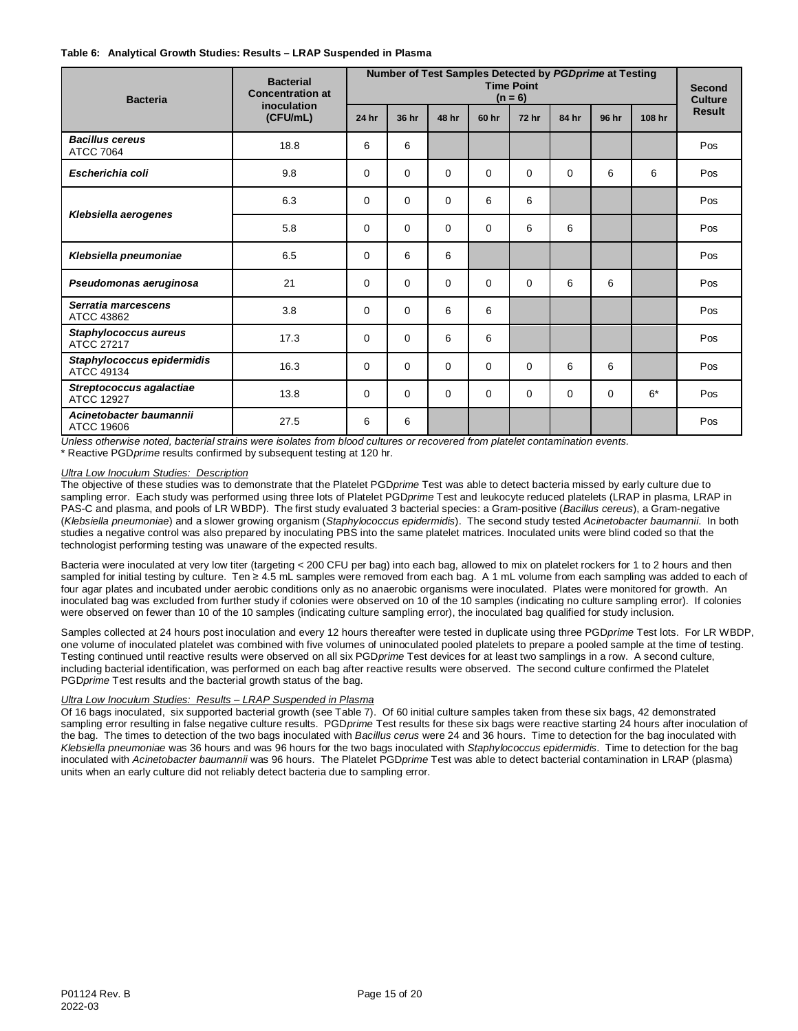#### **Table 6: Analytical Growth Studies: Results – LRAP Suspended in Plasma**

| <b>Bacteria</b>                            | <b>Bacterial</b><br><b>Concentration at</b> | Number of Test Samples Detected by PGDprime at Testing<br><b>Time Point</b><br>$(n = 6)$ |          |             |          |              |          |          |        | <b>Second</b><br><b>Culture</b> |
|--------------------------------------------|---------------------------------------------|------------------------------------------------------------------------------------------|----------|-------------|----------|--------------|----------|----------|--------|---------------------------------|
|                                            | inoculation<br>(CFU/mL)                     | 24 hr                                                                                    | 36 hr    | 48 hr       | 60 hr    | <b>72 hr</b> | 84 hr    | 96 hr    | 108 hr | <b>Result</b>                   |
| <b>Bacillus cereus</b><br><b>ATCC 7064</b> | 18.8                                        | 6                                                                                        | 6        |             |          |              |          |          |        | Pos                             |
| Escherichia coli                           | 9.8                                         | $\Omega$                                                                                 | $\Omega$ | $\Omega$    | $\Omega$ | $\Omega$     | $\Omega$ | 6        | 6      | Pos                             |
|                                            | 6.3                                         | $\Omega$                                                                                 | $\Omega$ | $\mathbf 0$ | 6        | 6            |          |          |        | Pos                             |
| Klebsiella aerogenes                       | 5.8                                         | $\Omega$                                                                                 | $\Omega$ | $\Omega$    | $\Omega$ | 6            | 6        |          |        | Pos                             |
| Klebsiella pneumoniae                      | 6.5                                         | $\Omega$                                                                                 | 6        | 6           |          |              |          |          |        | Pos                             |
| Pseudomonas aeruginosa                     | 21                                          | $\Omega$                                                                                 | $\Omega$ | $\mathbf 0$ | $\Omega$ | $\Omega$     | 6        | 6        |        | Pos                             |
| Serratia marcescens<br>ATCC 43862          | 3.8                                         | $\Omega$                                                                                 | $\Omega$ | 6           | 6        |              |          |          |        | Pos                             |
| Staphylococcus aureus<br>ATCC 27217        | 17.3                                        | $\Omega$                                                                                 | $\Omega$ | 6           | 6        |              |          |          |        | Pos                             |
| Staphylococcus epidermidis<br>ATCC 49134   | 16.3                                        | $\Omega$                                                                                 | $\Omega$ | $\Omega$    | $\Omega$ | $\Omega$     | 6        | 6        |        | Pos                             |
| Streptococcus agalactiae<br>ATCC 12927     | 13.8                                        | $\Omega$                                                                                 | $\Omega$ | $\Omega$    | $\Omega$ | $\Omega$     | $\Omega$ | $\Omega$ | $6*$   | Pos                             |
| Acinetobacter baumannii<br>ATCC 19606      | 27.5                                        | 6                                                                                        | 6        |             |          |              |          |          |        | Pos                             |

*Unless otherwise noted, bacterial strains were isolates from blood cultures or recovered from platelet contamination events.* \* Reactive PGD*prime* results confirmed by subsequent testing at 120 hr.

## *Ultra Low Inoculum Studies: Description*

The objective of these studies was to demonstrate that the Platelet PGD*prime* Test was able to detect bacteria missed by early culture due to sampling error. Each study was performed using three lots of Platelet PGD*prime* Test and leukocyte reduced platelets (LRAP in plasma, LRAP in PAS-C and plasma, and pools of LR WBDP). The first study evaluated 3 bacterial species: a Gram-positive (*Bacillus cereus*), a Gram-negative (*Klebsiella pneumoniae*) and a slower growing organism (*Staphylococcus epidermidis*). The second study tested *Acinetobacter baumannii*. In both studies a negative control was also prepared by inoculating PBS into the same platelet matrices. Inoculated units were blind coded so that the technologist performing testing was unaware of the expected results.

Bacteria were inoculated at very low titer (targeting < 200 CFU per bag) into each bag, allowed to mix on platelet rockers for 1 to 2 hours and then sampled for initial testing by culture. Ten ≥ 4.5 mL samples were removed from each bag. A 1 mL volume from each sampling was added to each of four agar plates and incubated under aerobic conditions only as no anaerobic organisms were inoculated. Plates were monitored for growth. An inoculated bag was excluded from further study if colonies were observed on 10 of the 10 samples (indicating no culture sampling error). If colonies were observed on fewer than 10 of the 10 samples (indicating culture sampling error), the inoculated bag qualified for study inclusion.

Samples collected at 24 hours post inoculation and every 12 hours thereafter were tested in duplicate using three PGD*prime* Test lots. For LR WBDP, one volume of inoculated platelet was combined with five volumes of uninoculated pooled platelets to prepare a pooled sample at the time of testing. Testing continued until reactive results were observed on all six PGD*prime* Test devices for at least two samplings in a row. A second culture, including bacterial identification, was performed on each bag after reactive results were observed. The second culture confirmed the Platelet PGD*prime* Test results and the bacterial growth status of the bag.

# *Ultra Low Inoculum Studies: Results – LRAP Suspended in Plasma*

Of 16 bags inoculated, six supported bacterial growth (see Table 7). Of 60 initial culture samples taken from these six bags, 42 demonstrated sampling error resulting in false negative culture results. PGD*prime* Test results for these six bags were reactive starting 24 hours after inoculation of the bag. The times to detection of the two bags inoculated with *Bacillus cerus* were 24 and 36 hours. Time to detection for the bag inoculated with *Klebsiella pneumoniae* was 36 hours and was 96 hours for the two bags inoculated with *Staphylococcus epidermidis*. Time to detection for the bag inoculated with *Acinetobacter baumannii* was 96 hours. The Platelet PGD*prime* Test was able to detect bacterial contamination in LRAP (plasma) units when an early culture did not reliably detect bacteria due to sampling error.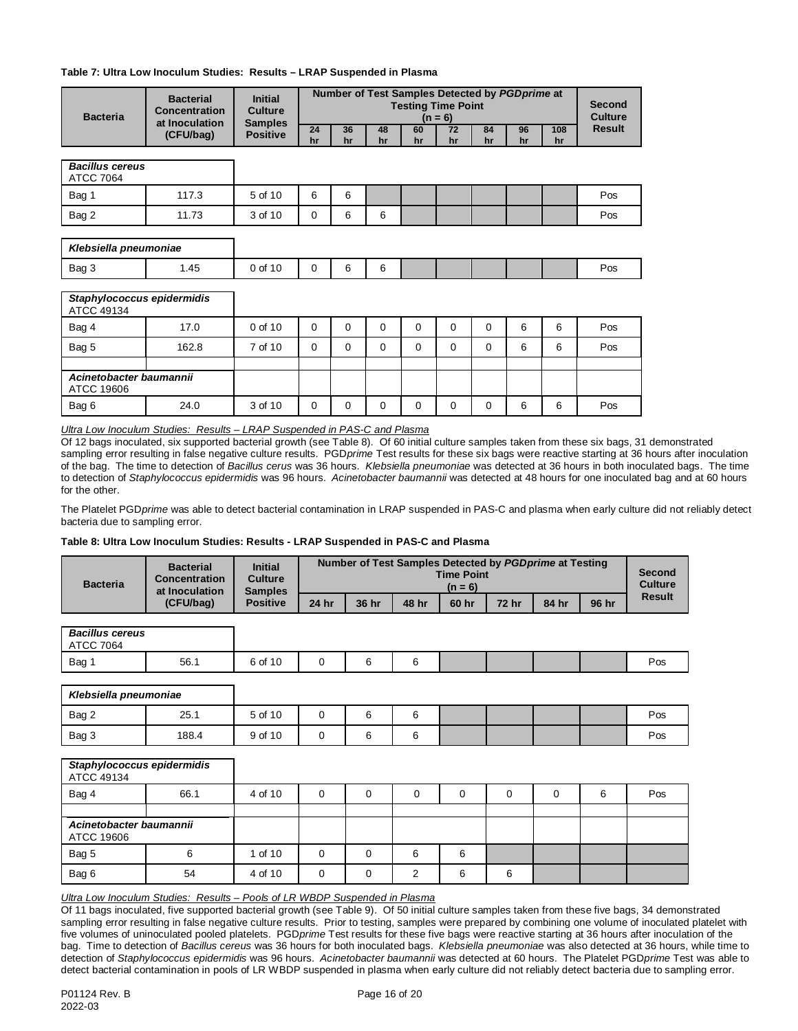# **Table 7: Ultra Low Inoculum Studies: Results – LRAP Suspended in Plasma**

| <b>Bacteria</b>                            | <b>Bacterial</b><br>Concentration<br>at Inoculation | <b>Initial</b><br><b>Culture</b><br><b>Samples</b> | Number of Test Samples Detected by PGDprime at<br><b>Testing Time Point</b><br>$(n = 6)$ |          |          |          |          |          |          |           | <b>Second</b><br><b>Culture</b> |
|--------------------------------------------|-----------------------------------------------------|----------------------------------------------------|------------------------------------------------------------------------------------------|----------|----------|----------|----------|----------|----------|-----------|---------------------------------|
|                                            | (CFU/bag)                                           | <b>Positive</b>                                    | 24<br>hr                                                                                 | 36<br>hr | 48<br>hr | 60<br>hr | 72<br>hr | 84<br>hr | 96<br>hr | 108<br>hr | <b>Result</b>                   |
| <b>Bacillus cereus</b><br><b>ATCC 7064</b> |                                                     |                                                    |                                                                                          |          |          |          |          |          |          |           |                                 |
| Bag 1                                      | 117.3                                               | 5 of 10                                            | 6                                                                                        | 6        |          |          |          |          |          |           | Pos                             |
| Bag 2                                      | 11.73                                               | 3 of 10                                            | $\mathbf 0$                                                                              | 6        | 6        |          |          |          |          |           | Pos                             |
| Klebsiella pneumoniae                      |                                                     |                                                    |                                                                                          |          |          |          |          |          |          |           |                                 |
| Bag 3                                      | 1.45                                                | 0 of 10                                            | $\mathbf 0$                                                                              | 6        | 6        |          |          |          |          |           | Pos                             |
| Staphylococcus epidermidis<br>ATCC 49134   |                                                     |                                                    |                                                                                          |          |          |          |          |          |          |           |                                 |
| Bag 4                                      | 17.0                                                | 0 of 10                                            | $\Omega$                                                                                 | 0        | $\Omega$ | 0        | 0        | $\Omega$ | 6        | 6         | Pos                             |
| Bag 5                                      | 162.8                                               | 7 of 10                                            | $\Omega$                                                                                 | $\Omega$ | 0        | $\Omega$ | $\Omega$ | 0        | 6        | 6         | Pos                             |
|                                            |                                                     |                                                    |                                                                                          |          |          |          |          |          |          |           |                                 |
| ATCC 19606                                 | Acinetobacter baumannii                             |                                                    |                                                                                          |          |          |          |          |          |          |           |                                 |
| Bag 6                                      | 24.0                                                | 3 of 10                                            | $\mathbf 0$                                                                              | 0        | 0        | 0        | 0        | $\Omega$ | 6        | 6         | Pos                             |

*Ultra Low Inoculum Studies: Results – LRAP Suspended in PAS-C and Plasma*

Of 12 bags inoculated, six supported bacterial growth (see Table 8). Of 60 initial culture samples taken from these six bags, 31 demonstrated sampling error resulting in false negative culture results. PGD*prime* Test results for these six bags were reactive starting at 36 hours after inoculation of the bag. The time to detection of *Bacillus cerus* was 36 hours. *Klebsiella pneumoniae* was detected at 36 hours in both inoculated bags. The time to detection of *Staphylococcus epidermidis* was 96 hours. *Acinetobacter baumannii* was detected at 48 hours for one inoculated bag and at 60 hours for the other.

The Platelet PGD*prime* was able to detect bacterial contamination in LRAP suspended in PAS-C and plasma when early culture did not reliably detect bacteria due to sampling error.

#### **Table 8: Ultra Low Inoculum Studies: Results - LRAP Suspended in PAS-C and Plasma**

| <b>Bacteria</b> | <b>Bacterial</b><br>Concentration<br>at Inoculation<br>(CFU/bag) | <b>Initial</b><br>Culture<br><b>Samples</b> |       | Number of Test Samples Detected by PGD prime at Testing<br><b>Time Point</b><br>$(n = 6)$ |       |       |              |       |       |        |
|-----------------|------------------------------------------------------------------|---------------------------------------------|-------|-------------------------------------------------------------------------------------------|-------|-------|--------------|-------|-------|--------|
|                 |                                                                  | <b>Positive</b>                             | 24 hr | 36 hr                                                                                     | 48 hr | 60 hr | <b>72 hr</b> | 84 hr | 96 hr | Result |

| <b>Bacillus cereus</b><br><b>ATCC 7064</b> |      |         |  |  |  |     |
|--------------------------------------------|------|---------|--|--|--|-----|
| Bag 1                                      | 56.1 | 6 of 10 |  |  |  | Pos |

| Klebsiella pneumoniae |       |         |  |  |  |     |
|-----------------------|-------|---------|--|--|--|-----|
| Bag 2                 | 25.1  | 5 of 10 |  |  |  | Pos |
| Bag 3                 | 188.4 | 9 of 10 |  |  |  | Pos |

| Staphylococcus epidermidis<br>ATCC 49134 |      |         |   |   |   |   |   |   |   |     |
|------------------------------------------|------|---------|---|---|---|---|---|---|---|-----|
| Bag 4                                    | 66.1 | 4 of 10 | 0 | 0 | 0 | 0 | 0 | 0 | 6 | Pos |
|                                          |      |         |   |   |   |   |   |   |   |     |
| Acinetobacter baumannii<br>ATCC 19606    |      |         |   |   |   |   |   |   |   |     |
| Bag 5                                    | 6    | 1 of 10 | 0 | 0 | 6 | 6 |   |   |   |     |
| Bag 6                                    | 54   | 4 of 10 | 0 | 0 | າ | 6 | 6 |   |   |     |

*Ultra Low Inoculum Studies: Results – Pools of LR WBDP Suspended in Plasma*

Of 11 bags inoculated, five supported bacterial growth (see Table 9). Of 50 initial culture samples taken from these five bags, 34 demonstrated sampling error resulting in false negative culture results. Prior to testing, samples were prepared by combining one volume of inoculated platelet with five volumes of uninoculated pooled platelets. PGD*prime* Test results for these five bags were reactive starting at 36 hours after inoculation of the bag. Time to detection of *Bacillus cereus* was 36 hours for both inoculated bags. *Klebsiella pneumoniae* was also detected at 36 hours, while time to detection of *Staphylococcus epidermidis* was 96 hours. *Acinetobacter baumannii* was detected at 60 hours. The Platelet PGD*prime* Test was able to detect bacterial contamination in pools of LR WBDP suspended in plasma when early culture did not reliably detect bacteria due to sampling error.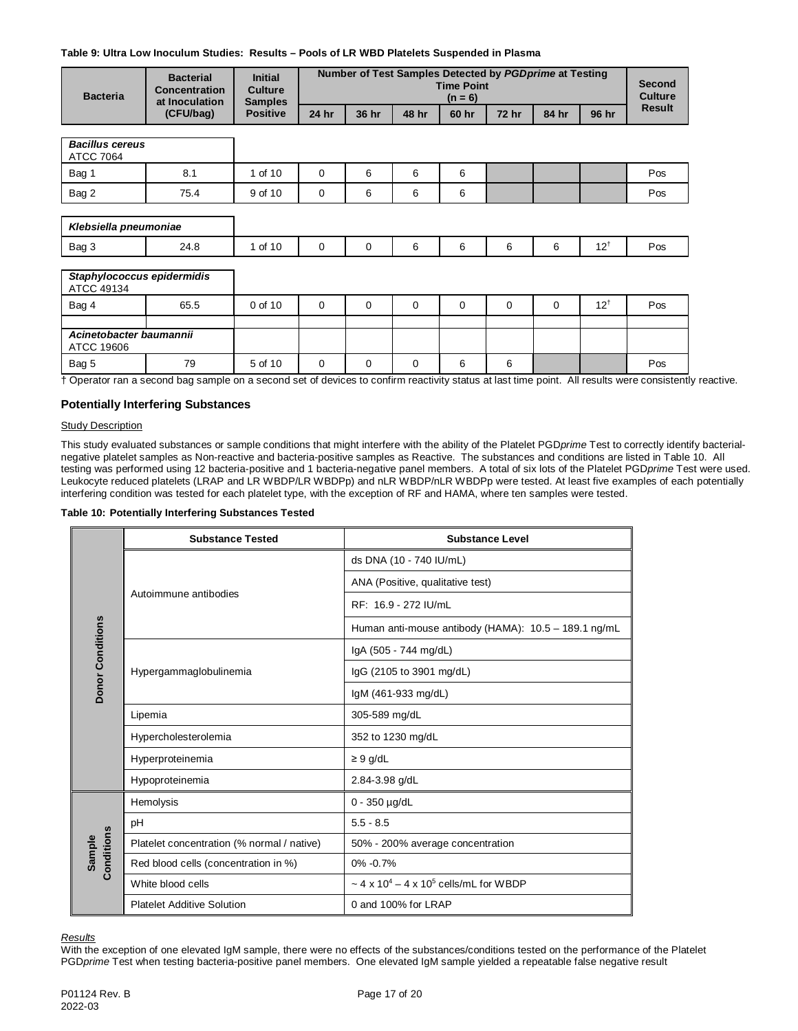# **Table 9: Ultra Low Inoculum Studies: Results – Pools of LR WBD Platelets Suspended in Plasma**

| <b>Bacteria</b>                            | <b>Bacterial</b><br>Concentration<br>at Inoculation | <b>Initial</b><br>Culture<br><b>Samples</b> | Number of Test Samples Detected by PGDprime at Testing<br><b>Time Point</b><br>$(n = 6)$ |          |       |       |              |       | <b>Second</b><br><b>Culture</b> |               |
|--------------------------------------------|-----------------------------------------------------|---------------------------------------------|------------------------------------------------------------------------------------------|----------|-------|-------|--------------|-------|---------------------------------|---------------|
|                                            | (CFU/bag)                                           | <b>Positive</b>                             | 24 hr                                                                                    | 36 hr    | 48 hr | 60 hr | <b>72 hr</b> | 84 hr | 96 hr                           | <b>Result</b> |
| <b>Bacillus cereus</b><br><b>ATCC 7064</b> |                                                     |                                             |                                                                                          |          |       |       |              |       |                                 |               |
| Bag 1                                      | 8.1                                                 | 1 of 10                                     | $\mathbf 0$                                                                              | 6        | 6     | 6     |              |       |                                 | Pos           |
| Bag 2                                      | 75.4                                                | 9 of 10                                     | $\mathbf 0$                                                                              | 6        | 6     | 6     |              |       |                                 | Pos           |
| Klebsiella pneumoniae<br>Bag 3             | 24.8                                                | 1 of 10                                     | 0                                                                                        | 0        | 6     | 6     | 6            | 6     | $12^{\dagger}$                  | Pos           |
| Staphylococcus epidermidis<br>ATCC 49134   |                                                     |                                             |                                                                                          |          |       |       |              |       |                                 |               |
| Bag 4                                      | 65.5                                                | 0 of 10                                     | $\mathbf 0$                                                                              | $\Omega$ | 0     | 0     | 0            | 0     | $12^+$                          | Pos           |
| Acinetobacter baumannii<br>ATCC 19606      |                                                     |                                             |                                                                                          |          |       |       |              |       |                                 |               |
|                                            | 79                                                  | 5 of 10                                     | $\mathbf 0$                                                                              | 0        | 0     | 6     | 6            |       |                                 | Pos           |

**Potentially Interfering Substances**

## **Study Description**

This study evaluated substances or sample conditions that might interfere with the ability of the Platelet PGD*prime* Test to correctly identify bacterialnegative platelet samples as Non-reactive and bacteria-positive samples as Reactive. The substances and conditions are listed in Table 10. All testing was performed using 12 bacteria-positive and 1 bacteria-negative panel members. A total of six lots of the Platelet PGD*prime* Test were used. Leukocyte reduced platelets (LRAP and LR WBDP/LR WBDPp) and nLR WBDP/nLR WBDPp were tested. At least five examples of each potentially interfering condition was tested for each platelet type, with the exception of RF and HAMA, where ten samples were tested.

#### **Table 10: Potentially Interfering Substances Tested**

|                         | <b>Substance Tested</b>                    | <b>Substance Level</b>                                             |  |  |  |  |
|-------------------------|--------------------------------------------|--------------------------------------------------------------------|--|--|--|--|
|                         |                                            | ds DNA (10 - 740 IU/mL)                                            |  |  |  |  |
|                         |                                            | ANA (Positive, qualitative test)                                   |  |  |  |  |
|                         | Autoimmune antibodies                      | RF: 16.9 - 272 IU/mL                                               |  |  |  |  |
|                         |                                            | Human anti-mouse antibody (HAMA): 10.5 - 189.1 ng/mL               |  |  |  |  |
| <b>Donor Conditions</b> |                                            | lgA (505 - 744 mg/dL)                                              |  |  |  |  |
|                         | Hypergammaglobulinemia                     | lgG (2105 to 3901 mg/dL)                                           |  |  |  |  |
|                         |                                            | IgM (461-933 mg/dL)                                                |  |  |  |  |
|                         | Lipemia                                    | 305-589 mg/dL                                                      |  |  |  |  |
|                         | Hypercholesterolemia                       | 352 to 1230 mg/dL                                                  |  |  |  |  |
|                         | Hyperproteinemia                           | $\geq 9$ g/dL                                                      |  |  |  |  |
|                         | Hypoproteinemia                            | 2.84-3.98 g/dL                                                     |  |  |  |  |
|                         | Hemolysis                                  | 0 - 350 µg/dL                                                      |  |  |  |  |
|                         | pH                                         | $5.5 - 8.5$                                                        |  |  |  |  |
| Conditions<br>Sample    | Platelet concentration (% normal / native) | 50% - 200% average concentration                                   |  |  |  |  |
|                         | Red blood cells (concentration in %)       | $0\% -0.7\%$                                                       |  |  |  |  |
|                         | White blood cells                          | $\sim$ 4 x 10 <sup>4</sup> – 4 x 10 <sup>5</sup> cells/mL for WBDP |  |  |  |  |
|                         | <b>Platelet Additive Solution</b>          | 0 and 100% for LRAP                                                |  |  |  |  |

*Results*

With the exception of one elevated IgM sample, there were no effects of the substances/conditions tested on the performance of the Platelet PGD*prime* Test when testing bacteria-positive panel members. One elevated IgM sample yielded a repeatable false negative result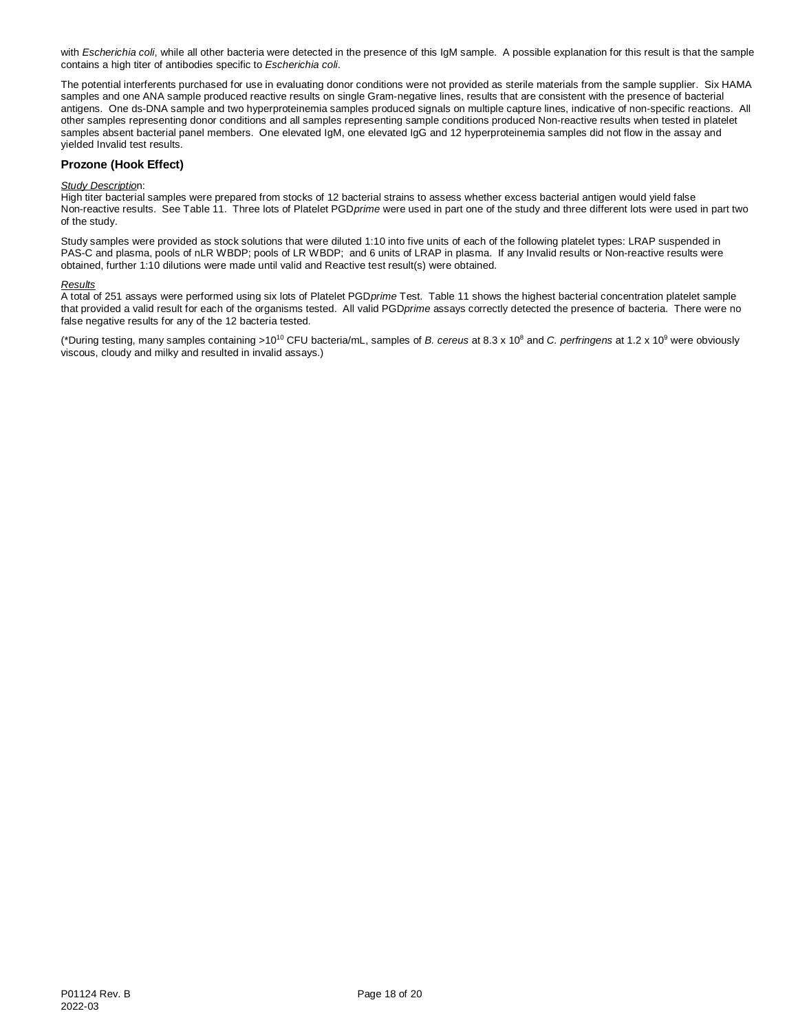with *Escherichia coli*, while all other bacteria were detected in the presence of this IgM sample. A possible explanation for this result is that the sample contains a high titer of antibodies specific to *Escherichia coli*.

The potential interferents purchased for use in evaluating donor conditions were not provided as sterile materials from the sample supplier. Six HAMA samples and one ANA sample produced reactive results on single Gram-negative lines, results that are consistent with the presence of bacterial antigens. One ds-DNA sample and two hyperproteinemia samples produced signals on multiple capture lines, indicative of non-specific reactions. All other samples representing donor conditions and all samples representing sample conditions produced Non-reactive results when tested in platelet samples absent bacterial panel members. One elevated IgM, one elevated IgG and 12 hyperproteinemia samples did not flow in the assay and yielded Invalid test results.

# **Prozone (Hook Effect)**

#### *Study Descriptio*n:

High titer bacterial samples were prepared from stocks of 12 bacterial strains to assess whether excess bacterial antigen would yield false Non-reactive results. See Table 11. Three lots of Platelet PGD*prime* were used in part one of the study and three different lots were used in part two of the study.

Study samples were provided as stock solutions that were diluted 1:10 into five units of each of the following platelet types: LRAP suspended in PAS-C and plasma, pools of nLR WBDP; pools of LR WBDP; and 6 units of LRAP in plasma. If any Invalid results or Non-reactive results were obtained, further 1:10 dilutions were made until valid and Reactive test result(s) were obtained.

#### *Results*

A total of 251 assays were performed using six lots of Platelet PGD*prime* Test. Table 11 shows the highest bacterial concentration platelet sample that provided a valid result for each of the organisms tested. All valid PGD*prime* assays correctly detected the presence of bacteria. There were no false negative results for any of the 12 bacteria tested.

(\*During testing, many samples containing >1010 CFU bacteria/mL, samples of *B. cereus* at 8.3 x 108 and *C. perfringens* at 1.2 x 109 were obviously viscous, cloudy and milky and resulted in invalid assays.)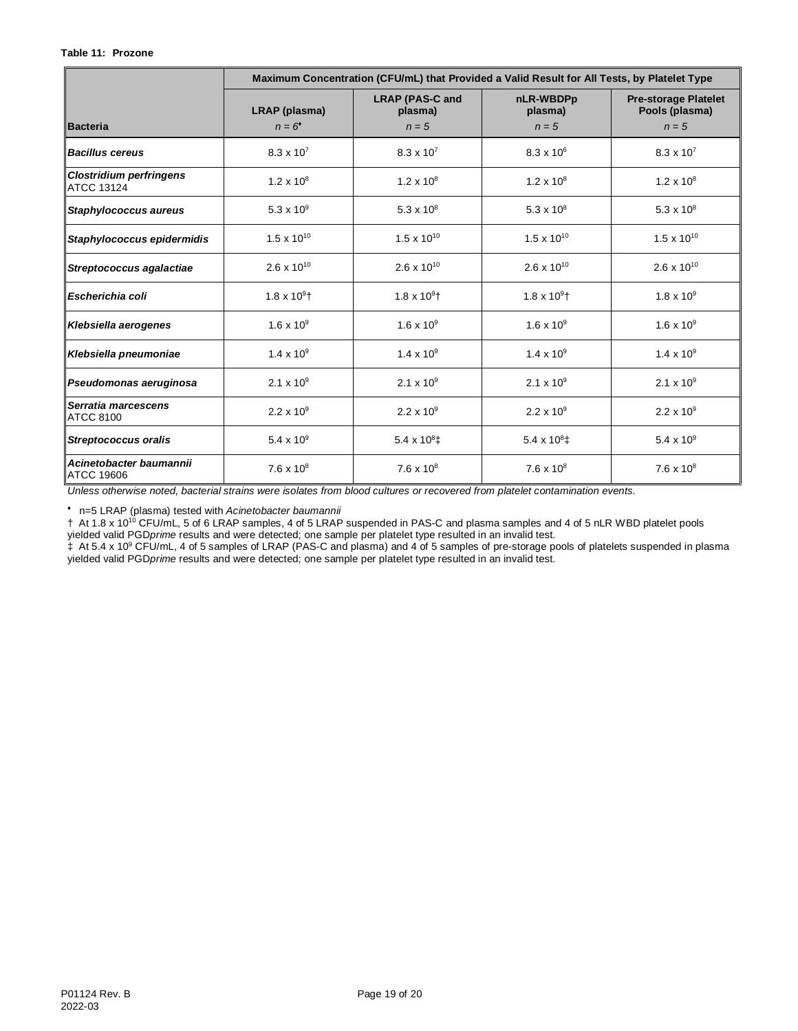|                                              | Maximum Concentration (CFU/mL) that Provided a Valid Result for All Tests, by Platelet Type |                                   |                                  |                                               |  |  |  |  |
|----------------------------------------------|---------------------------------------------------------------------------------------------|-----------------------------------|----------------------------------|-----------------------------------------------|--|--|--|--|
|                                              | LRAP (plasma)                                                                               | <b>LRAP (PAS-C and</b><br>plasma) | nLR-WBDPp<br>plasma)             | <b>Pre-storage Platelet</b><br>Pools (plasma) |  |  |  |  |
| <b>Bacteria</b>                              | $n = 6$                                                                                     | $n=5$                             | $n = 5$                          | $n = 5$                                       |  |  |  |  |
| <b>Bacillus cereus</b>                       | $8.3 \times 10^{7}$                                                                         | $8.3 \times 10^{7}$               | $8.3 \times 10^{6}$              | $8.3 \times 10^{7}$                           |  |  |  |  |
| <b>Clostridium perfringens</b><br>ATCC 13124 | $1.2 \times 10^8$                                                                           | $1.2 \times 10^8$                 | $1.2 \times 10^8$                | $1.2 \times 10^8$                             |  |  |  |  |
| Staphylococcus aureus                        | 5.3 x $10^9$                                                                                | 5.3 x $10^8$                      | 5.3 x $10^8$                     | 5.3 x $10^8$                                  |  |  |  |  |
| Staphylococcus epidermidis                   | $1.5 \times 10^{10}$                                                                        | $1.5 \times 10^{10}$              | $1.5 \times 10^{10}$             | $1.5 \times 10^{10}$                          |  |  |  |  |
| Streptococcus agalactiae                     | 2.6 x $10^{10}$                                                                             | 2.6 x $10^{10}$                   | $2.6 \times 10^{10}$             | $2.6 \times 10^{10}$                          |  |  |  |  |
| Escherichia coli                             | $1.8 \times 10^{9}$ <sup>+</sup>                                                            | $1.8 \times 10^9$ †               | $1.8 \times 10^{9}$ <sup>+</sup> | $1.8 \times 10^{9}$                           |  |  |  |  |
| Klebsiella aerogenes                         | $1.6 \times 10^{9}$                                                                         | $1.6 \times 10^{9}$               | $1.6 \times 10^{9}$              | $1.6 \times 10^{9}$                           |  |  |  |  |
| Klebsiella pneumoniae                        | $1.4 \times 10^{9}$                                                                         | $1.4 \times 10^{9}$               | $1.4 \times 10^{9}$              | $1.4 \times 10^{9}$                           |  |  |  |  |
| Pseudomonas aeruginosa                       | 2.1 x $10^9$                                                                                | 2.1 x $10^9$                      | 2.1 x $10^9$                     | 2.1 x $10^9$                                  |  |  |  |  |
| Serratia marcescens<br><b>ATCC 8100</b>      | $2.2 \times 10^9$                                                                           | $2.2 \times 10^9$                 | $2.2 \times 10^{9}$              | $2.2 \times 10^{9}$                           |  |  |  |  |
| <b>Streptococcus oralis</b>                  | 5.4 x $10^9$                                                                                | 5.4 x $10^8$ ‡                    | 5.4 x $10^8$ ‡                   | 5.4 x $10^9$                                  |  |  |  |  |
| Acinetobacter baumannii<br><b>ATCC 19606</b> | $7.6 \times 10^8$                                                                           | $7.6 \times 10^8$                 | $7.6 \times 10^8$                | $7.6 \times 10^8$                             |  |  |  |  |

*Unless otherwise noted, bacterial strains were isolates from blood cultures or recovered from platelet contamination events.*

♦ n=5 LRAP (plasma) tested with *Acinetobacter baumannii*

† At 1.8 x 1010 CFU/mL, 5 of 6 LRAP samples, 4 of 5 LRAP suspended in PAS-C and plasma samples and 4 of 5 nLR WBD platelet pools yielded valid PGD*prime* results and were detected; one sample per platelet type resulted in an invalid test.

 $\ddagger$  At 5.4 x 10<sup>9</sup> CFU/mL, 4 of 5 samples of LRAP (PAS-C and plasma) and 4 of 5 samples of pre-storage pools of platelets suspended in plasma yielded valid PGD*prime* results and were detected; one sample per platelet type resulted in an invalid test.